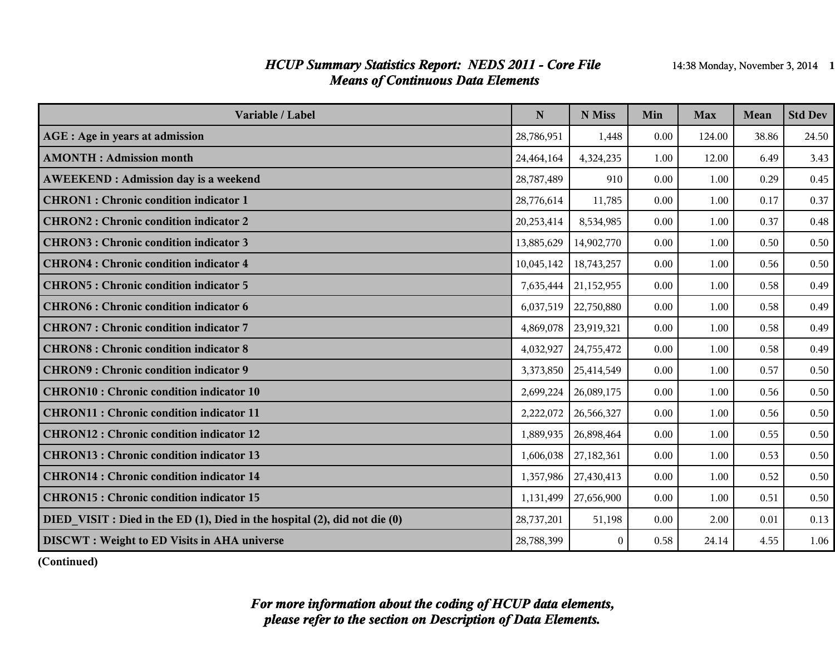#### *HCUP Summary Statistics Report: NEDS 2011 - Core File* 14:38 Monday, November 3, 2014 1 *Means of Continuous Data Elements*

| Variable / Label                                                           | $\mathbf N$ | N Miss       | Min  | <b>Max</b> | Mean  | <b>Std Dev</b> |
|----------------------------------------------------------------------------|-------------|--------------|------|------------|-------|----------------|
| AGE : Age in years at admission                                            | 28,786,951  | 1,448        | 0.00 | 124.00     | 38.86 | 24.50          |
| <b>AMONTH</b> : Admission month                                            | 24,464,164  | 4,324,235    | 1.00 | 12.00      | 6.49  | 3.43           |
| <b>AWEEKEND: Admission day is a weekend</b>                                | 28,787,489  | 910          | 0.00 | 1.00       | 0.29  | 0.45           |
| <b>CHRON1</b> : Chronic condition indicator 1                              | 28,776,614  | 11,785       | 0.00 | 1.00       | 0.17  | 0.37           |
| <b>CHRON2</b> : Chronic condition indicator 2                              | 20,253,414  | 8,534,985    | 0.00 | 1.00       | 0.37  | 0.48           |
| <b>CHRON3: Chronic condition indicator 3</b>                               | 13,885,629  | 14,902,770   | 0.00 | 1.00       | 0.50  | 0.50           |
| <b>CHRON4</b> : Chronic condition indicator 4                              | 10,045,142  | 18,743,257   | 0.00 | 1.00       | 0.56  | 0.50           |
| <b>CHRON5: Chronic condition indicator 5</b>                               | 7,635,444   | 21,152,955   | 0.00 | 1.00       | 0.58  | 0.49           |
| <b>CHRON6: Chronic condition indicator 6</b>                               | 6,037,519   | 22,750,880   | 0.00 | 1.00       | 0.58  | 0.49           |
| <b>CHRON7: Chronic condition indicator 7</b>                               | 4,869,078   | 23,919,321   | 0.00 | 1.00       | 0.58  | 0.49           |
| <b>CHRON8</b> : Chronic condition indicator 8                              | 4,032,927   | 24,755,472   | 0.00 | 1.00       | 0.58  | 0.49           |
| <b>CHRON9</b> : Chronic condition indicator 9                              | 3,373,850   | 25,414,549   | 0.00 | 1.00       | 0.57  | 0.50           |
| <b>CHRON10: Chronic condition indicator 10</b>                             | 2,699,224   | 26,089,175   | 0.00 | 1.00       | 0.56  | 0.50           |
| <b>CHRON11: Chronic condition indicator 11</b>                             | 2,222,072   | 26,566,327   | 0.00 | 1.00       | 0.56  | 0.50           |
| <b>CHRON12: Chronic condition indicator 12</b>                             | 1,889,935   | 26,898,464   | 0.00 | 1.00       | 0.55  | 0.50           |
| <b>CHRON13: Chronic condition indicator 13</b>                             | 1,606,038   | 27,182,361   | 0.00 | 1.00       | 0.53  | 0.50           |
| <b>CHRON14 : Chronic condition indicator 14</b>                            | 1,357,986   | 27,430,413   | 0.00 | 1.00       | 0.52  | 0.50           |
| <b>CHRON15: Chronic condition indicator 15</b>                             | 1,131,499   | 27,656,900   | 0.00 | 1.00       | 0.51  | 0.50           |
| DIED VISIT : Died in the ED (1), Died in the hospital (2), did not die (0) | 28,737,201  | 51,198       | 0.00 | 2.00       | 0.01  | 0.13           |
| <b>DISCWT</b> : Weight to ED Visits in AHA universe                        | 28,788,399  | $\mathbf{0}$ | 0.58 | 24.14      | 4.55  | 1.06           |

**(Continued)**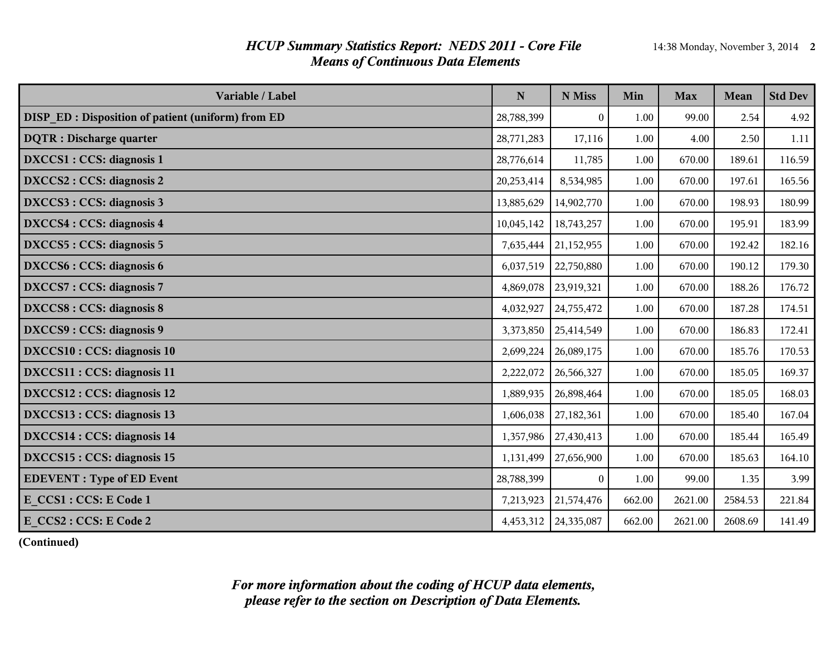#### *HCUP Summary Statistics Report: NEDS 2011 - Core File* 14:38 Monday, November 3, 2014 2 *Means of Continuous Data Elements*

| Variable / Label                                  | ${\bf N}$  | N Miss           | Min    | <b>Max</b> | <b>Mean</b> | <b>Std Dev</b> |
|---------------------------------------------------|------------|------------------|--------|------------|-------------|----------------|
| DISP_ED: Disposition of patient (uniform) from ED | 28,788,399 | $\boldsymbol{0}$ | 1.00   | 99.00      | 2.54        | 4.92           |
| <b>DQTR</b> : Discharge quarter                   | 28,771,283 | 17,116           | 1.00   | 4.00       | 2.50        | 1.11           |
| DXCCS1 : CCS: diagnosis 1                         | 28,776,614 | 11,785           | 1.00   | 670.00     | 189.61      | 116.59         |
| DXCCS2 : CCS: diagnosis 2                         | 20,253,414 | 8,534,985        | 1.00   | 670.00     | 197.61      | 165.56         |
| DXCCS3 : CCS: diagnosis 3                         | 13,885,629 | 14,902,770       | 1.00   | 670.00     | 198.93      | 180.99         |
| DXCCS4 : CCS: diagnosis 4                         | 10,045,142 | 18,743,257       | 1.00   | 670.00     | 195.91      | 183.99         |
| DXCCS5 : CCS: diagnosis 5                         | 7,635,444  | 21,152,955       | 1.00   | 670.00     | 192.42      | 182.16         |
| DXCCS6 : CCS: diagnosis 6                         | 6,037,519  | 22,750,880       | 1.00   | 670.00     | 190.12      | 179.30         |
| DXCCS7: CCS: diagnosis 7                          | 4,869,078  | 23,919,321       | 1.00   | 670.00     | 188.26      | 176.72         |
| DXCCS8 : CCS: diagnosis 8                         | 4,032,927  | 24,755,472       | 1.00   | 670.00     | 187.28      | 174.51         |
| DXCCS9: CCS: diagnosis 9                          | 3,373,850  | 25,414,549       | 1.00   | 670.00     | 186.83      | 172.41         |
| DXCCS10 : CCS: diagnosis 10                       | 2,699,224  | 26,089,175       | 1.00   | 670.00     | 185.76      | 170.53         |
| DXCCS11 : CCS: diagnosis 11                       | 2,222,072  | 26,566,327       | 1.00   | 670.00     | 185.05      | 169.37         |
| DXCCS12 : CCS: diagnosis 12                       | 1,889,935  | 26,898,464       | 1.00   | 670.00     | 185.05      | 168.03         |
| DXCCS13 : CCS: diagnosis 13                       | 1,606,038  | 27,182,361       | 1.00   | 670.00     | 185.40      | 167.04         |
| DXCCS14 : CCS: diagnosis 14                       | 1,357,986  | 27,430,413       | 1.00   | 670.00     | 185.44      | 165.49         |
| DXCCS15 : CCS: diagnosis 15                       | 1,131,499  | 27,656,900       | 1.00   | 670.00     | 185.63      | 164.10         |
| <b>EDEVENT</b> : Type of ED Event                 | 28,788,399 | $\Omega$         | 1.00   | 99.00      | 1.35        | 3.99           |
| E CCS1 : CCS: E Code 1                            | 7,213,923  | 21,574,476       | 662.00 | 2621.00    | 2584.53     | 221.84         |
| E CCS2 : CCS: E Code 2                            | 4,453,312  | 24,335,087       | 662.00 | 2621.00    | 2608.69     | 141.49         |

**(Continued)**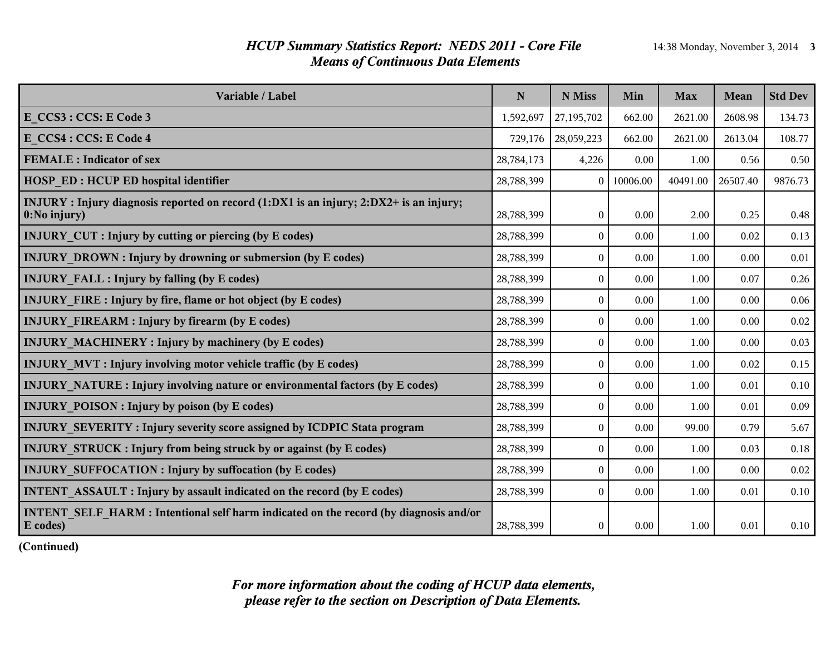#### *HCUP Summary Statistics Report: NEDS 2011 - Core File* 14:38 Monday, November 3, 2014 3 *Means of Continuous Data Elements*

| Variable / Label                                                                                                  | N          | N Miss           | Min      | <b>Max</b> | Mean     | <b>Std Dev</b> |
|-------------------------------------------------------------------------------------------------------------------|------------|------------------|----------|------------|----------|----------------|
| E CCS3 : CCS: E Code 3                                                                                            | 1,592,697  | 27,195,702       | 662.00   | 2621.00    | 2608.98  | 134.73         |
| E CCS4 : CCS: E Code 4                                                                                            | 729,176    | 28,059,223       | 662.00   | 2621.00    | 2613.04  | 108.77         |
| <b>FEMALE</b> : Indicator of sex                                                                                  | 28,784,173 | 4,226            | 0.00     | 1.00       | 0.56     | 0.50           |
| <b>HOSP ED: HCUP ED hospital identifier</b>                                                                       | 28,788,399 | $\theta$         | 10006.00 | 40491.00   | 26507.40 | 9876.73        |
| INJURY: Injury diagnosis reported on record $(1:DX1$ is an injury; $2:DX2+$ is an injury;<br>$\vert$ 0:No injury) | 28,788,399 | $\mathbf{0}$     | 0.00     | 2.00       | 0.25     | 0.48           |
| <b>INJURY_CUT : Injury by cutting or piercing (by E codes)</b>                                                    | 28,788,399 | $\mathbf{0}$     | 0.00     | 1.00       | 0.02     | 0.13           |
| <b>INJURY DROWN: Injury by drowning or submersion (by E codes)</b>                                                | 28,788,399 | $\theta$         | 0.00     | 1.00       | 0.00     | 0.01           |
| <b>INJURY FALL : Injury by falling (by E codes)</b>                                                               | 28,788,399 | $\mathbf{0}$     | 0.00     | 1.00       | 0.07     | 0.26           |
| <b>INJURY FIRE: Injury by fire, flame or hot object (by E codes)</b>                                              | 28,788,399 | $\boldsymbol{0}$ | 0.00     | 1.00       | 0.00     | 0.06           |
| <b>INJURY FIREARM : Injury by firearm (by E codes)</b>                                                            | 28,788,399 | $\theta$         | 0.00     | 1.00       | 0.00     | 0.02           |
| <b>INJURY MACHINERY: Injury by machinery (by E codes)</b>                                                         | 28,788,399 | $\mathbf{0}$     | 0.00     | 1.00       | 0.00     | 0.03           |
| <b>INJURY MVT: Injury involving motor vehicle traffic (by E codes)</b>                                            | 28,788,399 | $\theta$         | 0.00     | 1.00       | 0.02     | 0.15           |
| INJURY NATURE : Injury involving nature or environmental factors (by E codes)                                     | 28,788,399 | $\theta$         | 0.00     | 1.00       | 0.01     | $0.10\,$       |
| <b>INJURY POISON: Injury by poison (by E codes)</b>                                                               | 28,788,399 | $\boldsymbol{0}$ | 0.00     | 1.00       | 0.01     | 0.09           |
| INJURY SEVERITY: Injury severity score assigned by ICDPIC Stata program                                           | 28,788,399 | $\theta$         | 0.00     | 99.00      | 0.79     | 5.67           |
| <b>INJURY STRUCK: Injury from being struck by or against (by E codes)</b>                                         | 28,788,399 | $\mathbf{0}$     | 0.00     | 1.00       | 0.03     | 0.18           |
| <b>INJURY SUFFOCATION : Injury by suffocation (by E codes)</b>                                                    | 28,788,399 | $\theta$         | 0.00     | 1.00       | 0.00     | 0.02           |
| <b>INTENT ASSAULT: Injury by assault indicated on the record (by E codes)</b>                                     | 28,788,399 | $\theta$         | 0.00     | 1.00       | 0.01     | 0.10           |
| INTENT SELF HARM : Intentional self harm indicated on the record (by diagnosis and/or<br><b>E</b> codes)          | 28,788,399 | $\mathbf{0}$     | 0.00     | 1.00       | 0.01     | 0.10           |

**(Continued)**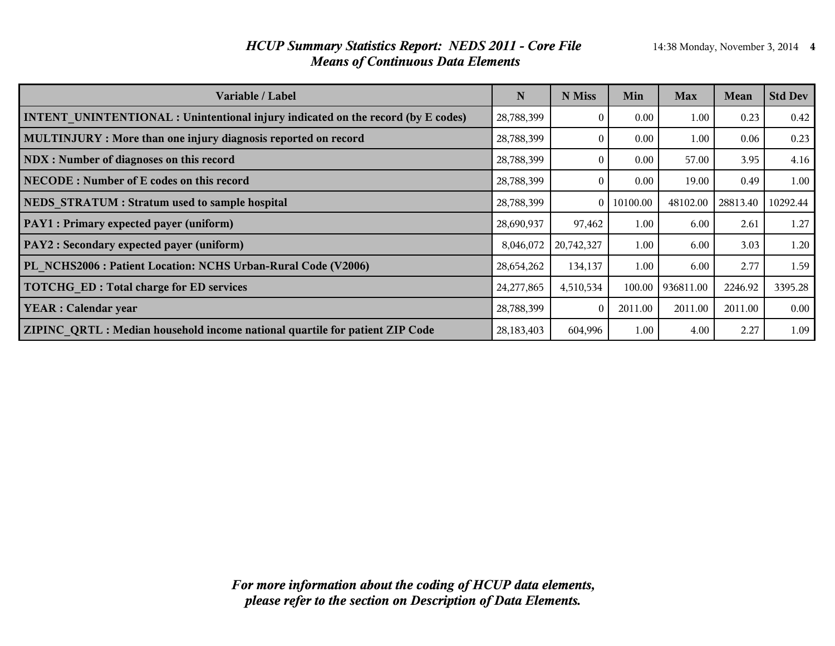#### *HCUP Summary Statistics Report: NEDS 2011 - Core File* 14:38 Monday, November 3, 2014 4 *Means of Continuous Data Elements*

| Variable / Label                                                                        | N            | N Miss         | Min      | <b>Max</b> | <b>Mean</b> | <b>Std Dev</b> |
|-----------------------------------------------------------------------------------------|--------------|----------------|----------|------------|-------------|----------------|
| <b>INTENT UNINTENTIONAL : Unintentional injury indicated on the record (by E codes)</b> | 28,788,399   |                | 0.00     | 1.00       | 0.23        | 0.42           |
| MULTINJURY: More than one injury diagnosis reported on record                           | 28,788,399   | $\Omega$       | 0.00     | 1.00       | 0.06        | 0.23           |
| NDX : Number of diagnoses on this record                                                | 28,788,399   | $\Omega$       | 0.00     | 57.00      | 3.95        | 4.16           |
| NECODE: Number of E codes on this record                                                | 28,788,399   | $\Omega$       | 0.00     | 19.00      | 0.49        | 1.00           |
| NEDS STRATUM : Stratum used to sample hospital                                          | 28,788,399   | $\overline{0}$ | 10100.00 | 48102.00   | 28813.40    | 10292.44       |
| PAY1 : Primary expected payer (uniform)                                                 | 28,690,937   | 97,462         | 1.00     | 6.00       | 2.61        | 1.27           |
| PAY2 : Secondary expected payer (uniform)                                               | 8,046,072    | 20,742,327     | 1.00     | 6.00       | 3.03        | 1.20           |
| PL NCHS2006 : Patient Location: NCHS Urban-Rural Code (V2006)                           | 28,654,262   | 134,137        | 1.00     | 6.00       | 2.77        | 1.59           |
| <b>TOTCHG ED: Total charge for ED services</b>                                          | 24,277,865   | 4,510,534      | 100.00   | 936811.00  | 2246.92     | 3395.28        |
| <b>YEAR</b> : Calendar year                                                             | 28,788,399   | $\Omega$       | 2011.00  | 2011.00    | 2011.00     | 0.00           |
| ZIPINC QRTL: Median household income national quartile for patient ZIP Code             | 28, 183, 403 | 604,996        | 1.00     | 4.00       | 2.27        | 1.09           |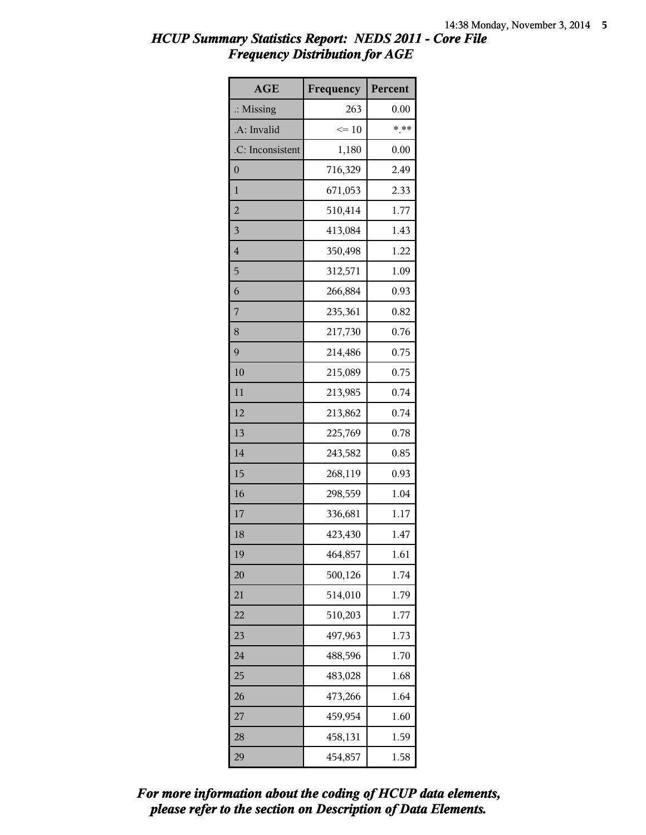| <b>AGE</b>           | Frequency | Percent |
|----------------------|-----------|---------|
| $\therefore$ Missing | 263       | 0.00    |
| .A: Invalid          | $\leq 10$ | ***     |
| .C: Inconsistent     | 1,180     | 0.00    |
| $\boldsymbol{0}$     | 716,329   | 2.49    |
| $\mathbf{1}$         | 671,053   | 2.33    |
| $\overline{2}$       | 510,414   | 1.77    |
| $\overline{3}$       | 413,084   | 1.43    |
| $\overline{4}$       | 350,498   | 1.22    |
| 5                    | 312,571   | 1.09    |
| 6                    | 266,884   | 0.93    |
| 7                    | 235,361   | 0.82    |
| 8                    | 217,730   | 0.76    |
| 9                    | 214,486   | 0.75    |
| 10                   | 215,089   | 0.75    |
| 11                   | 213,985   | 0.74    |
| 12                   | 213,862   | 0.74    |
| 13                   | 225,769   | 0.78    |
| 14                   | 243,582   | 0.85    |
| 15                   | 268,119   | 0.93    |
| 16                   | 298,559   | 1.04    |
| 17                   | 336,681   | 1.17    |
| 18                   | 423,430   | 1.47    |
| 19                   | 464,857   | 1.61    |
| 20                   | 500,126   | 1.74    |
| 21                   | 514,010   | 1.79    |
| 22                   | 510,203   | 1.77    |
| 23                   | 497,963   | 1.73    |
| 24                   | 488,596   | 1.70    |
| 25                   | 483,028   | 1.68    |
| 26                   | 473,266   | 1.64    |
| 27                   | 459,954   | 1.60    |
| 28                   | 458,131   | 1.59    |
| 29                   | 454,857   | 1.58    |

*please refer to the section on Description of Data Elements. For more information about the coding of HCUP data elements,*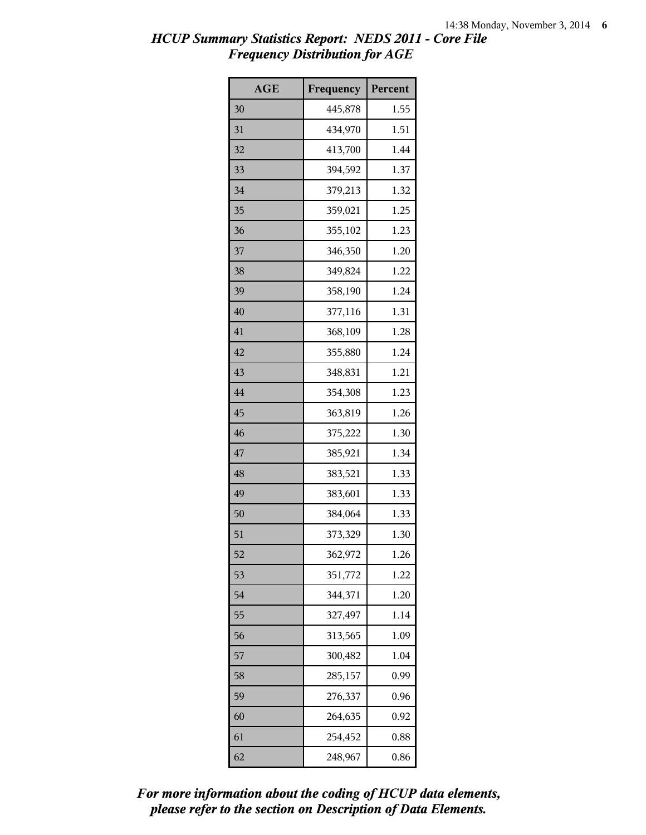| <b>AGE</b> | Frequency | Percent |
|------------|-----------|---------|
| 30         | 445,878   | 1.55    |
| 31         | 434,970   | 1.51    |
| 32         | 413,700   | 1.44    |
| 33         | 394,592   | 1.37    |
| 34         | 379,213   | 1.32    |
| 35         | 359,021   | 1.25    |
| 36         | 355,102   | 1.23    |
| 37         | 346,350   | 1.20    |
| 38         | 349,824   | 1.22    |
| 39         | 358,190   | 1.24    |
| 40         | 377,116   | 1.31    |
| 41         | 368,109   | 1.28    |
| 42         | 355,880   | 1.24    |
| 43         | 348,831   | 1.21    |
| 44         | 354,308   | 1.23    |
| 45         | 363,819   | 1.26    |
| 46         | 375,222   | 1.30    |
| 47         | 385,921   | 1.34    |
| 48         | 383,521   | 1.33    |
| 49         | 383,601   | 1.33    |
| 50         | 384,064   | 1.33    |
| 51         | 373,329   | 1.30    |
| 52         | 362,972   | 1.26    |
| 53         | 351,772   | 1.22    |
| 54         | 344,371   | 1.20    |
| 55         | 327,497   | 1.14    |
| 56         | 313,565   | 1.09    |
| 57         | 300,482   | 1.04    |
| 58         | 285,157   | 0.99    |
| 59         | 276,337   | 0.96    |
| 60         | 264,635   | 0.92    |
| 61         | 254,452   | 0.88    |
| 62         | 248,967   | 0.86    |

*please refer to the section on Description of Data Elements. For more information about the coding of HCUP data elements,*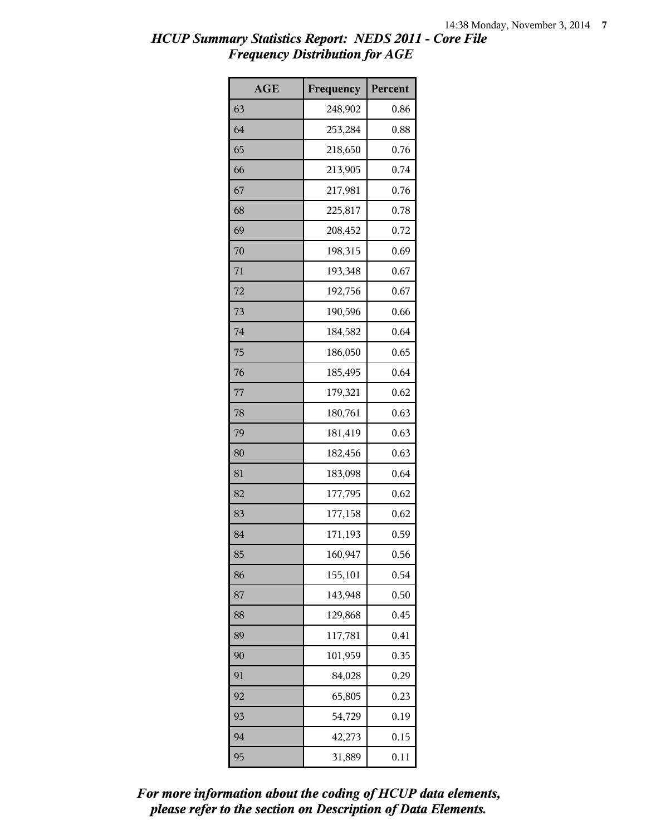| <b>AGE</b> | Frequency | Percent |
|------------|-----------|---------|
| 63         | 248,902   | 0.86    |
| 64         | 253,284   | 0.88    |
| 65         | 218,650   | 0.76    |
| 66         | 213,905   | 0.74    |
| 67         | 217,981   | 0.76    |
| 68         | 225,817   | 0.78    |
| 69         | 208,452   | 0.72    |
| 70         | 198,315   | 0.69    |
| 71         | 193,348   | 0.67    |
| 72         | 192,756   | 0.67    |
| 73         | 190,596   | 0.66    |
| 74         | 184,582   | 0.64    |
| 75         | 186,050   | 0.65    |
| 76         | 185,495   | 0.64    |
| 77         | 179,321   | 0.62    |
| 78         | 180,761   | 0.63    |
| 79         | 181,419   | 0.63    |
| 80         | 182,456   | 0.63    |
| 81         | 183,098   | 0.64    |
| 82         | 177,795   | 0.62    |
| 83         | 177,158   | 0.62    |
| 84         | 171,193   | 0.59    |
| 85         | 160,947   | 0.56    |
| 86         | 155,101   | 0.54    |
| 87         | 143,948   | 0.50    |
| 88         | 129,868   | 0.45    |
| 89         | 117,781   | 0.41    |
| 90         | 101,959   | 0.35    |
| 91         | 84,028    | 0.29    |
| 92         | 65,805    | 0.23    |
| 93         | 54,729    | 0.19    |
| 94         | 42,273    | 0.15    |
| 95         | 31,889    | 0.11    |

*please refer to the section on Description of Data Elements. For more information about the coding of HCUP data elements,*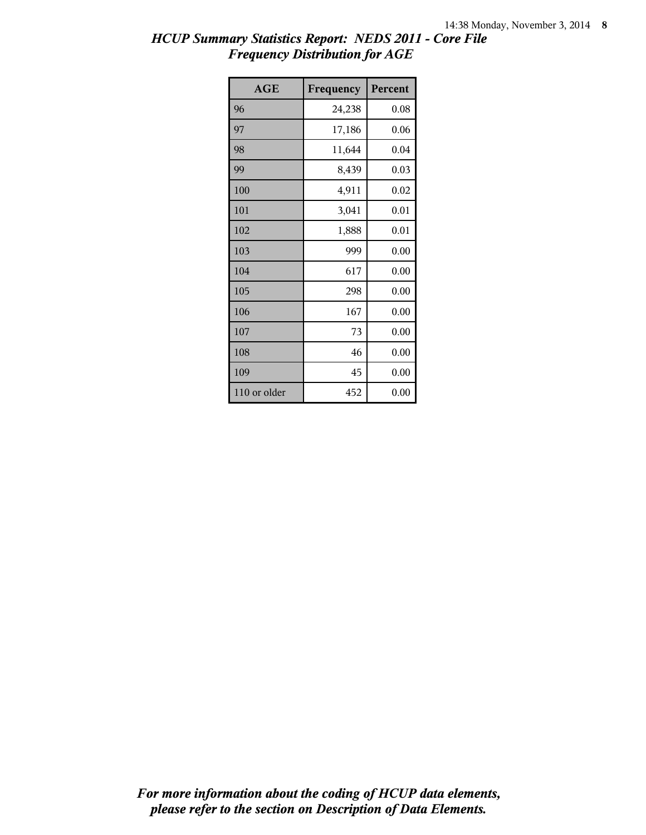| <b>AGE</b>   | Frequency | Percent |
|--------------|-----------|---------|
| 96           | 24,238    | 0.08    |
| 97           | 17,186    | 0.06    |
| 98           | 11,644    | 0.04    |
| 99           | 8,439     | 0.03    |
| 100          | 4,911     | 0.02    |
| 101          | 3,041     | 0.01    |
| 102          | 1,888     | 0.01    |
| 103          | 999       | 0.00    |
| 104          | 617       | 0.00    |
| 105          | 298       | 0.00    |
| 106          | 167       | 0.00    |
| 107          | 73        | 0.00    |
| 108          | 46        | 0.00    |
| 109          | 45        | 0.00    |
| 110 or older | 452       | 0.00    |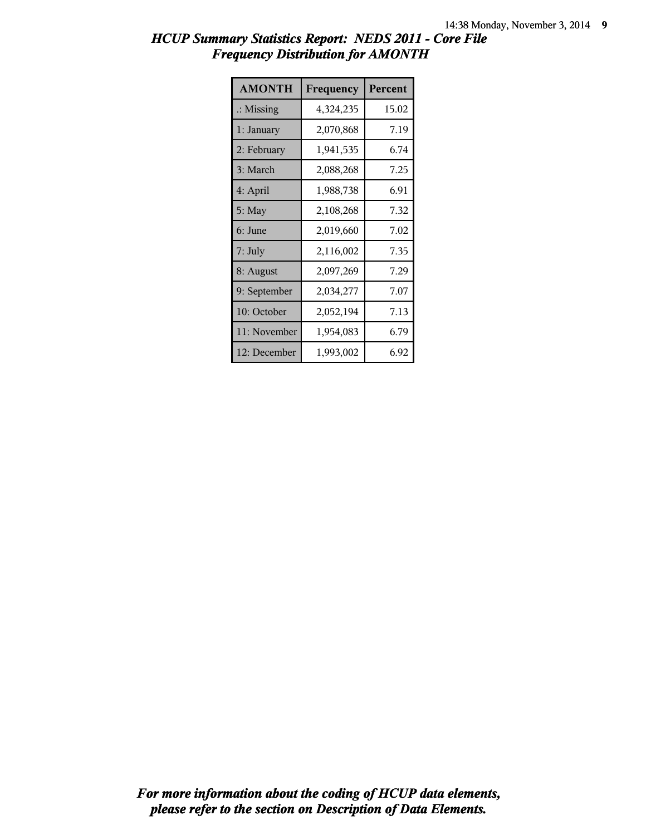| <b>AMONTH</b>        | Frequency | Percent |
|----------------------|-----------|---------|
| $\therefore$ Missing | 4,324,235 | 15.02   |
| 1: January           | 2,070,868 | 7.19    |
| 2: February          | 1,941,535 | 6.74    |
| 3: March             | 2,088,268 | 7.25    |
| 4: April             | 1,988,738 | 6.91    |
| $5:$ May             | 2,108,268 | 7.32    |
| 6: June              | 2,019,660 | 7.02    |
| 7: July              | 2,116,002 | 7.35    |
| 8: August            | 2,097,269 | 7.29    |
| 9: September         | 2,034,277 | 7.07    |
| 10: October          | 2,052,194 | 7.13    |
| 11: November         | 1,954,083 | 6.79    |
| 12: December         | 1,993,002 | 6.92    |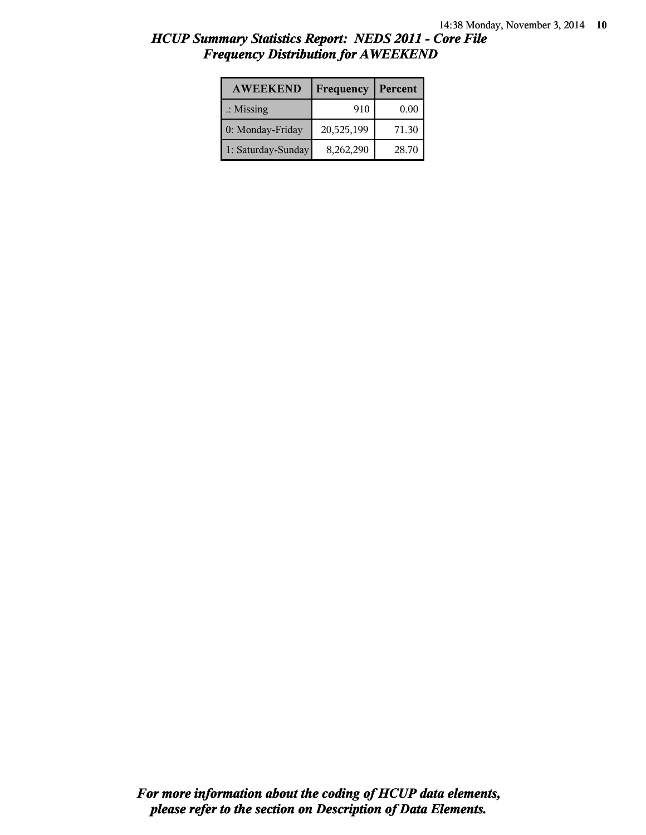| <b>AWEEKEND</b>      | Frequency  | Percent |
|----------------------|------------|---------|
| $\therefore$ Missing | 910        | 0.00    |
| 0: Monday-Friday     | 20,525,199 | 71.30   |
| 1: Saturday-Sunday   | 8,262,290  | 28.70   |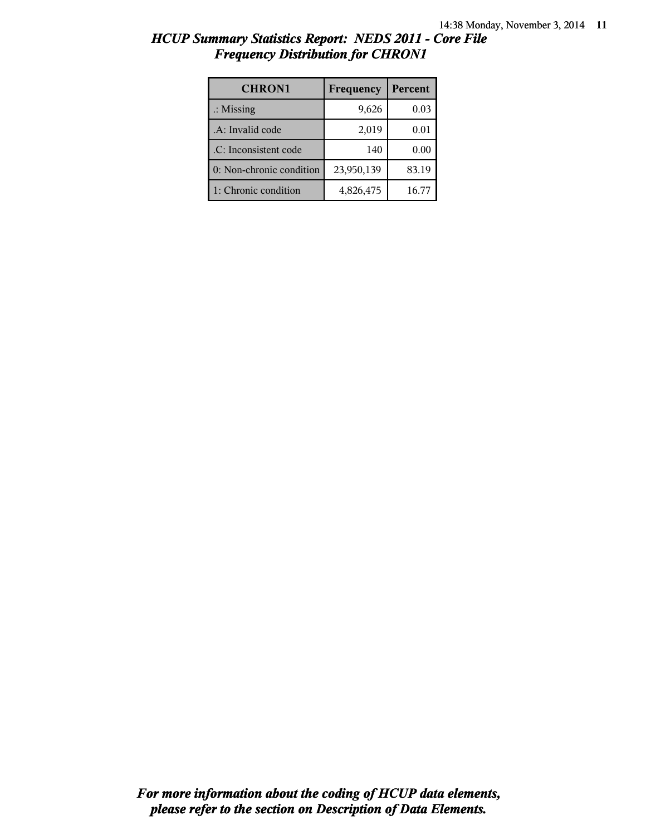| <b>CHRON1</b>            | Frequency  | Percent |
|--------------------------|------------|---------|
| $\therefore$ Missing     | 9,626      | 0.03    |
| .A: Invalid code         | 2,019      | 0.01    |
| .C: Inconsistent code    | 140        | 0.00    |
| 0: Non-chronic condition | 23,950,139 | 83.19   |
| 1: Chronic condition     | 4,826,475  | 16.77   |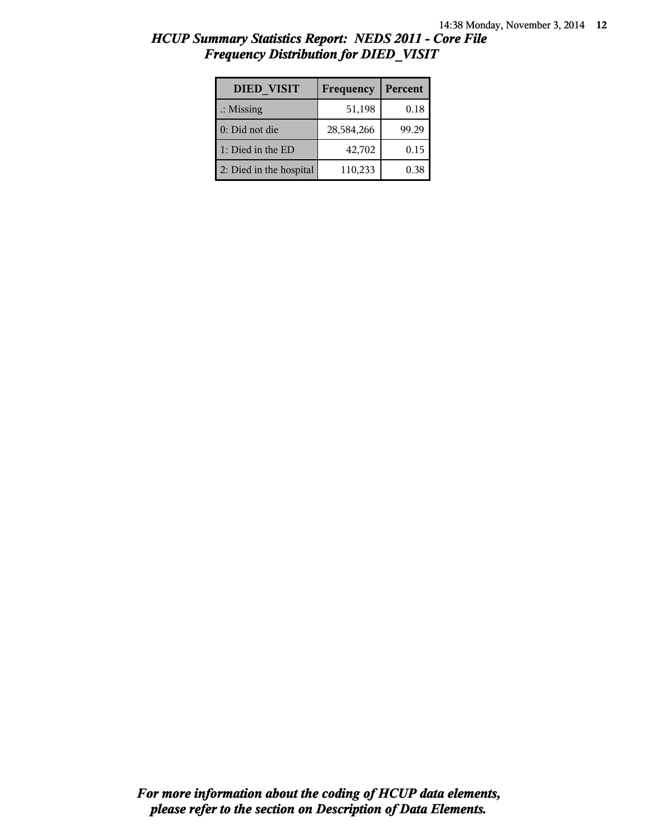| <b>DIED VISIT</b>       | Frequency  | Percent |
|-------------------------|------------|---------|
| $\therefore$ Missing    | 51,198     | 0.18    |
| 0: Did not die          | 28,584,266 | 99.29   |
| 1: Died in the ED       | 42,702     | 0.15    |
| 2: Died in the hospital | 110,233    | 0.38    |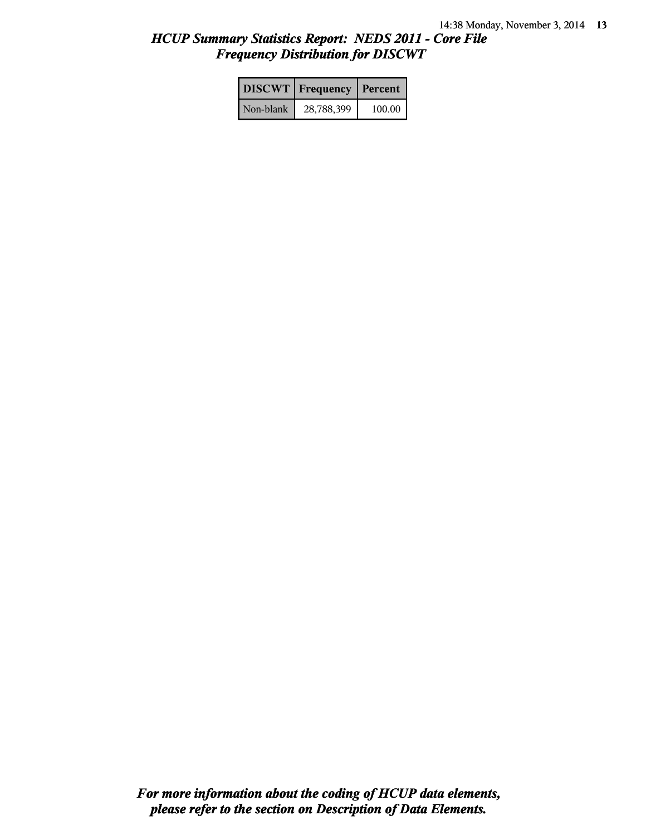|           | <b>DISCWT</b> Frequency | Percent |
|-----------|-------------------------|---------|
| Non-blank | 28,788,399              | 100.00  |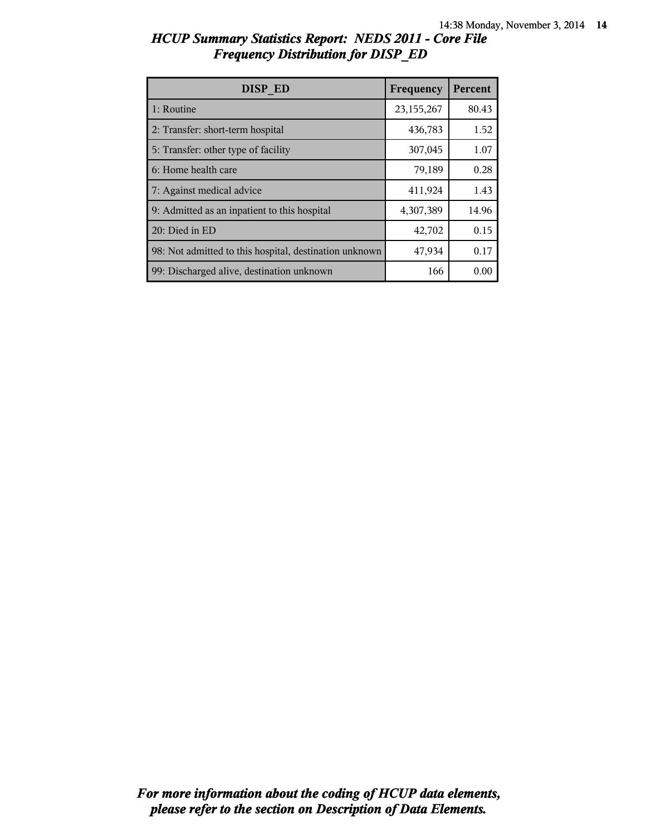| DISP ED                                                | Frequency    | Percent |
|--------------------------------------------------------|--------------|---------|
| 1: Routine                                             | 23, 155, 267 | 80.43   |
| 2: Transfer: short-term hospital                       | 436,783      | 1.52    |
| 5: Transfer: other type of facility                    | 307,045      | 1.07    |
| 6: Home health care                                    | 79,189       | 0.28    |
| 7: Against medical advice                              | 411,924      | 1.43    |
| 9: Admitted as an inpatient to this hospital           | 4,307,389    | 14.96   |
| 20: Died in ED                                         | 42,702       | 0.15    |
| 98: Not admitted to this hospital, destination unknown | 47,934       | 0.17    |
| 99: Discharged alive, destination unknown              | 166          | 0.00    |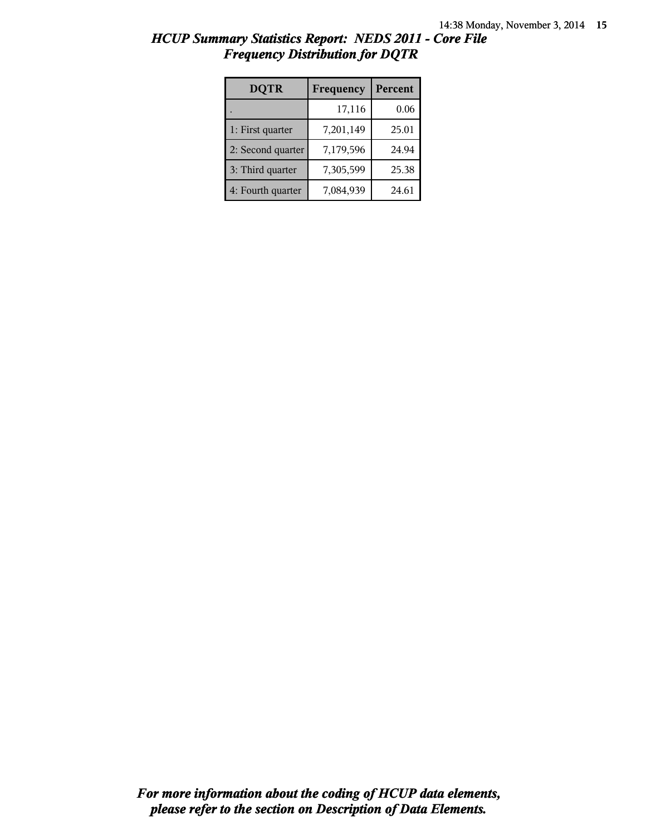| <b>DQTR</b>       | Frequency | Percent |
|-------------------|-----------|---------|
|                   | 17,116    | 0.06    |
| 1: First quarter  | 7,201,149 | 25.01   |
| 2: Second quarter | 7,179,596 | 24.94   |
| 3: Third quarter  | 7,305,599 | 25.38   |
| 4: Fourth quarter | 7,084,939 | 24.61   |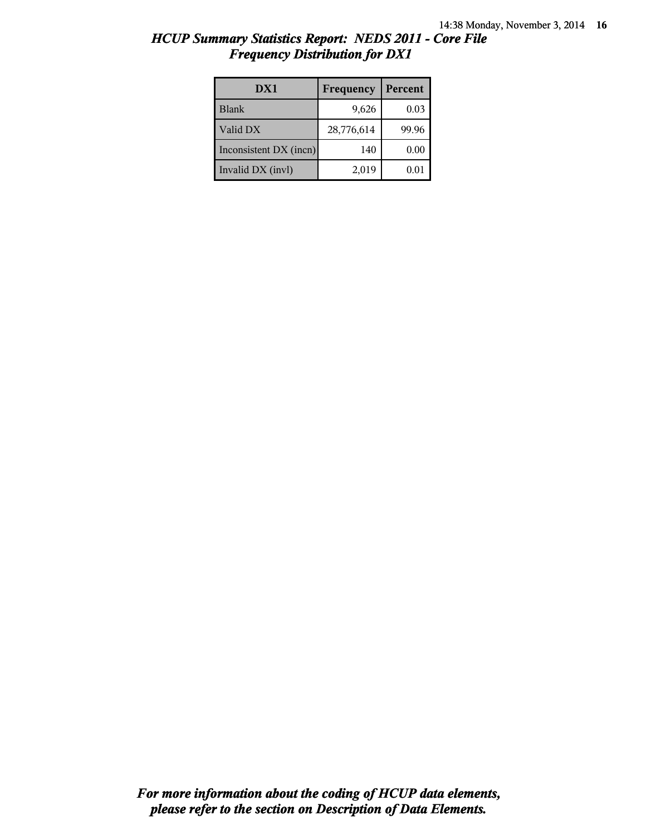| DX1                    | Frequency  | Percent |
|------------------------|------------|---------|
| Blank                  | 9,626      | 0.03    |
| Valid DX               | 28,776,614 | 99.96   |
| Inconsistent DX (incn) | 140        | 0.00    |
| Invalid DX (invl)      | 2,019      | 0.01    |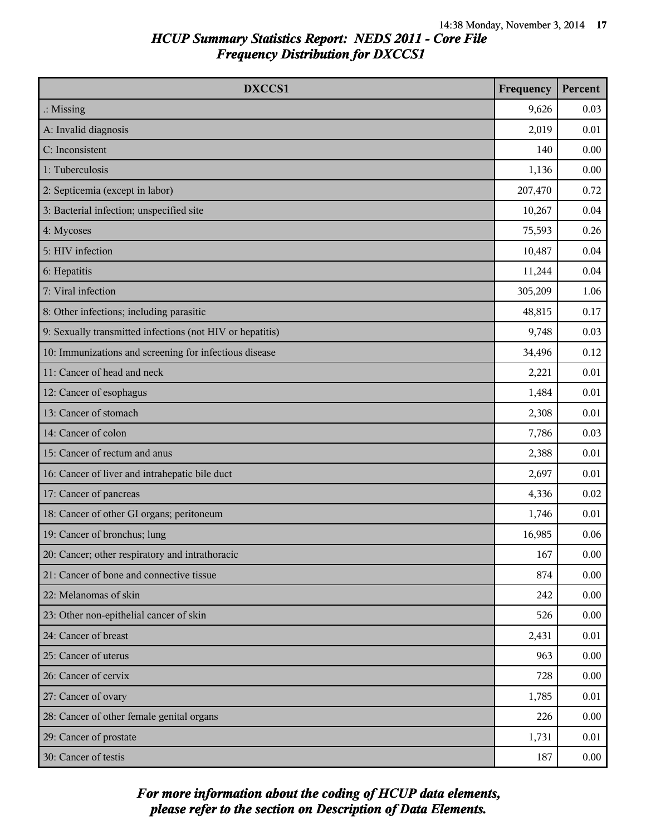| DXCCS1                                                    | Frequency | Percent  |
|-----------------------------------------------------------|-----------|----------|
| $\therefore$ Missing                                      | 9,626     | 0.03     |
| A: Invalid diagnosis                                      | 2,019     | 0.01     |
| C: Inconsistent                                           | 140       | 0.00     |
| 1: Tuberculosis                                           | 1,136     | 0.00     |
| 2: Septicemia (except in labor)                           | 207,470   | 0.72     |
| 3: Bacterial infection; unspecified site                  | 10,267    | 0.04     |
| 4: Mycoses                                                | 75,593    | 0.26     |
| 5: HIV infection                                          | 10,487    | 0.04     |
| 6: Hepatitis                                              | 11,244    | 0.04     |
| 7: Viral infection                                        | 305,209   | 1.06     |
| 8: Other infections; including parasitic                  | 48,815    | 0.17     |
| 9: Sexually transmitted infections (not HIV or hepatitis) | 9,748     | 0.03     |
| 10: Immunizations and screening for infectious disease    | 34,496    | 0.12     |
| 11: Cancer of head and neck                               | 2,221     | 0.01     |
| 12: Cancer of esophagus                                   | 1,484     | 0.01     |
| 13: Cancer of stomach                                     | 2,308     | 0.01     |
| 14: Cancer of colon                                       | 7,786     | 0.03     |
| 15: Cancer of rectum and anus                             | 2,388     | 0.01     |
| 16: Cancer of liver and intrahepatic bile duct            | 2,697     | 0.01     |
| 17: Cancer of pancreas                                    | 4,336     | 0.02     |
| 18: Cancer of other GI organs; peritoneum                 | 1,746     | 0.01     |
| 19: Cancer of bronchus; lung                              | 16,985    | 0.06     |
| 20: Cancer; other respiratory and intrathoracic           | 167       | 0.00     |
| 21: Cancer of bone and connective tissue                  | 874       | 0.00     |
| 22: Melanomas of skin                                     | 242       | 0.00     |
| 23: Other non-epithelial cancer of skin                   | 526       | 0.00     |
| 24: Cancer of breast                                      | 2,431     | 0.01     |
| 25: Cancer of uterus                                      | 963       | 0.00     |
| 26: Cancer of cervix                                      | 728       | 0.00     |
| 27: Cancer of ovary                                       | 1,785     | 0.01     |
| 28: Cancer of other female genital organs                 | 226       | 0.00     |
| 29: Cancer of prostate                                    | 1,731     | 0.01     |
| 30: Cancer of testis                                      | 187       | $0.00\,$ |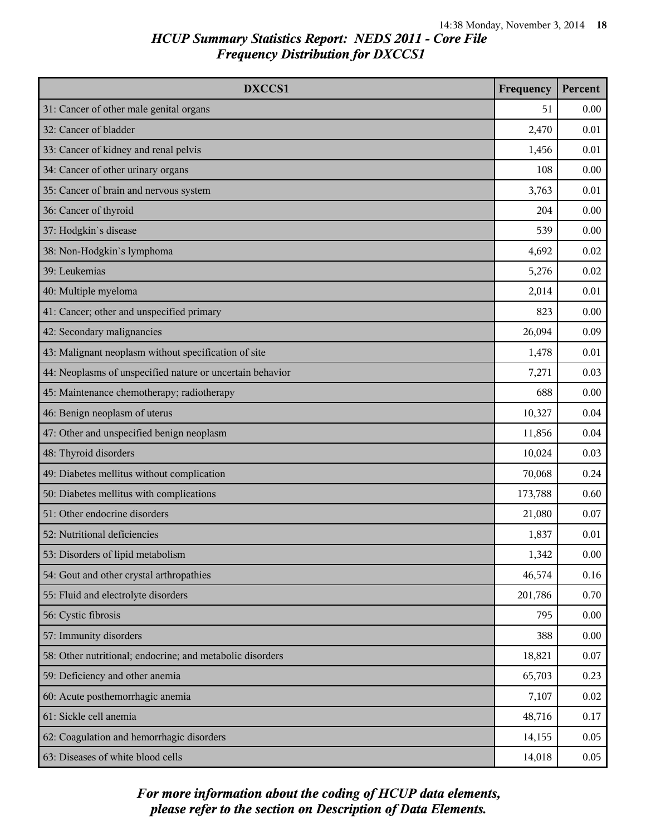| DXCCS1                                                    | Frequency | Percent |
|-----------------------------------------------------------|-----------|---------|
| 31: Cancer of other male genital organs                   | 51        | 0.00    |
| 32: Cancer of bladder                                     | 2,470     | 0.01    |
| 33: Cancer of kidney and renal pelvis                     | 1,456     | 0.01    |
| 34: Cancer of other urinary organs                        | 108       | 0.00    |
| 35: Cancer of brain and nervous system                    | 3,763     | 0.01    |
| 36: Cancer of thyroid                                     | 204       | 0.00    |
| 37: Hodgkin's disease                                     | 539       | 0.00    |
| 38: Non-Hodgkin's lymphoma                                | 4,692     | 0.02    |
| 39: Leukemias                                             | 5,276     | 0.02    |
| 40: Multiple myeloma                                      | 2,014     | 0.01    |
| 41: Cancer; other and unspecified primary                 | 823       | 0.00    |
| 42: Secondary malignancies                                | 26,094    | 0.09    |
| 43: Malignant neoplasm without specification of site      | 1,478     | 0.01    |
| 44: Neoplasms of unspecified nature or uncertain behavior | 7,271     | 0.03    |
| 45: Maintenance chemotherapy; radiotherapy                | 688       | 0.00    |
| 46: Benign neoplasm of uterus                             | 10,327    | 0.04    |
| 47: Other and unspecified benign neoplasm                 | 11,856    | 0.04    |
| 48: Thyroid disorders                                     | 10,024    | 0.03    |
| 49: Diabetes mellitus without complication                | 70,068    | 0.24    |
| 50: Diabetes mellitus with complications                  | 173,788   | 0.60    |
| 51: Other endocrine disorders                             | 21,080    | 0.07    |
| 52: Nutritional deficiencies                              | 1,837     | 0.01    |
| 53: Disorders of lipid metabolism                         | 1,342     | 0.00    |
| 54: Gout and other crystal arthropathies                  | 46,574    | 0.16    |
| 55: Fluid and electrolyte disorders                       | 201,786   | 0.70    |
| 56: Cystic fibrosis                                       | 795       | 0.00    |
| 57: Immunity disorders                                    | 388       | 0.00    |
| 58: Other nutritional; endocrine; and metabolic disorders | 18,821    | 0.07    |
| 59: Deficiency and other anemia                           | 65,703    | 0.23    |
| 60: Acute posthemorrhagic anemia                          | 7,107     | 0.02    |
| 61: Sickle cell anemia                                    | 48,716    | 0.17    |
| 62: Coagulation and hemorrhagic disorders                 | 14,155    | 0.05    |
| 63: Diseases of white blood cells                         | 14,018    | 0.05    |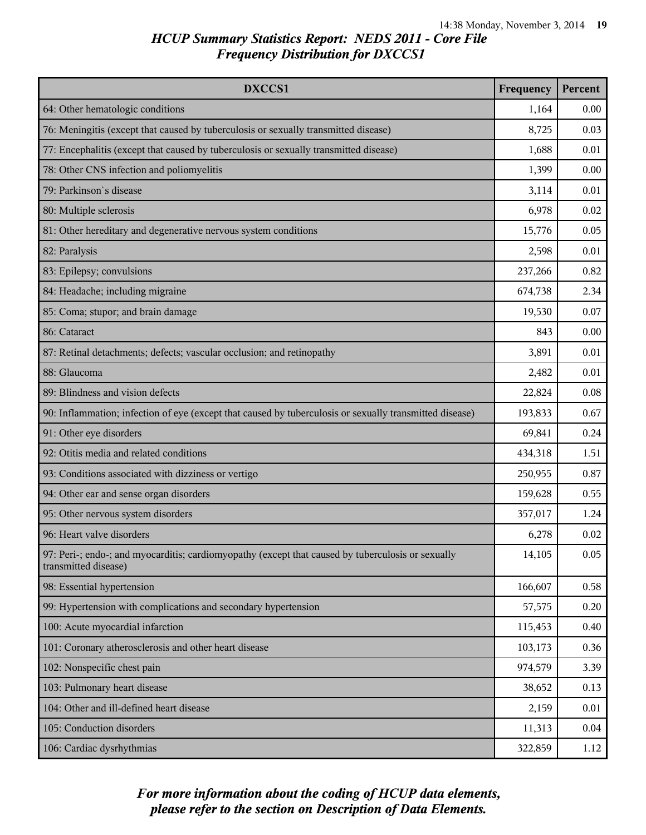| DXCCS1                                                                                                                    | Frequency | Percent |
|---------------------------------------------------------------------------------------------------------------------------|-----------|---------|
| 64: Other hematologic conditions                                                                                          | 1,164     | 0.00    |
| 76: Meningitis (except that caused by tuberculosis or sexually transmitted disease)                                       | 8,725     | 0.03    |
| 77: Encephalitis (except that caused by tuberculosis or sexually transmitted disease)                                     | 1,688     | 0.01    |
| 78: Other CNS infection and poliomyelitis                                                                                 | 1,399     | 0.00    |
| 79: Parkinson's disease                                                                                                   | 3,114     | 0.01    |
| 80: Multiple sclerosis                                                                                                    | 6,978     | 0.02    |
| 81: Other hereditary and degenerative nervous system conditions                                                           | 15,776    | 0.05    |
| 82: Paralysis                                                                                                             | 2,598     | 0.01    |
| 83: Epilepsy; convulsions                                                                                                 | 237,266   | 0.82    |
| 84: Headache; including migraine                                                                                          | 674,738   | 2.34    |
| 85: Coma; stupor; and brain damage                                                                                        | 19,530    | 0.07    |
| 86: Cataract                                                                                                              | 843       | 0.00    |
| 87: Retinal detachments; defects; vascular occlusion; and retinopathy                                                     | 3,891     | 0.01    |
| 88: Glaucoma                                                                                                              | 2,482     | 0.01    |
| 89: Blindness and vision defects                                                                                          | 22,824    | 0.08    |
| 90: Inflammation; infection of eye (except that caused by tuberculosis or sexually transmitted disease)                   | 193,833   | 0.67    |
| 91: Other eye disorders                                                                                                   | 69,841    | 0.24    |
| 92: Otitis media and related conditions                                                                                   | 434,318   | 1.51    |
| 93: Conditions associated with dizziness or vertigo                                                                       | 250,955   | 0.87    |
| 94: Other ear and sense organ disorders                                                                                   | 159,628   | 0.55    |
| 95: Other nervous system disorders                                                                                        | 357,017   | 1.24    |
| 96: Heart valve disorders                                                                                                 | 6,278     | 0.02    |
| 97: Peri-; endo-; and myocarditis; cardiomyopathy (except that caused by tuberculosis or sexually<br>transmitted disease) | 14,105    | 0.05    |
| 98: Essential hypertension                                                                                                | 166,607   | 0.58    |
| 99: Hypertension with complications and secondary hypertension                                                            | 57,575    | 0.20    |
| 100: Acute myocardial infarction                                                                                          | 115,453   | 0.40    |
| 101: Coronary atherosclerosis and other heart disease                                                                     | 103,173   | 0.36    |
| 102: Nonspecific chest pain                                                                                               | 974,579   | 3.39    |
| 103: Pulmonary heart disease                                                                                              | 38,652    | 0.13    |
| 104: Other and ill-defined heart disease                                                                                  | 2,159     | 0.01    |
| 105: Conduction disorders                                                                                                 | 11,313    | 0.04    |
| 106: Cardiac dysrhythmias                                                                                                 | 322,859   | 1.12    |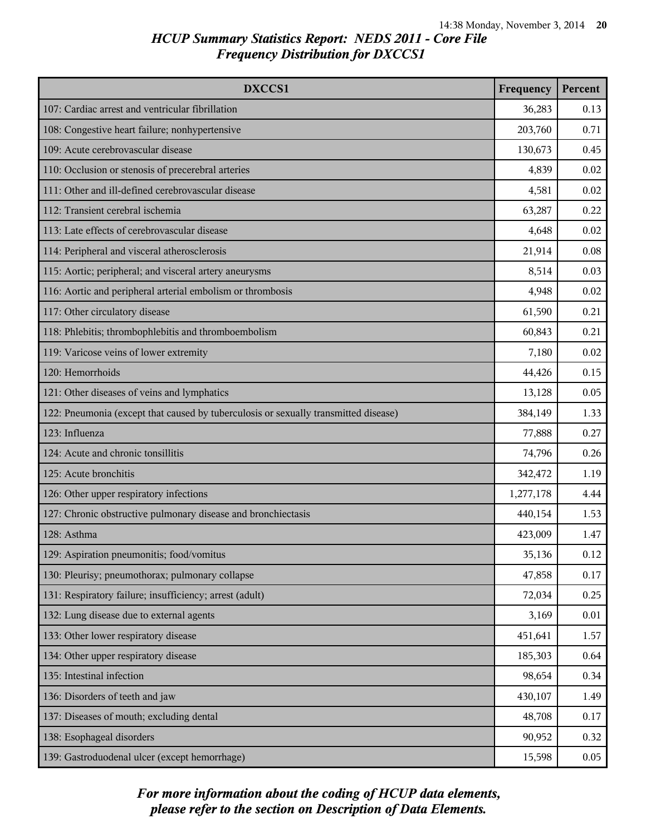| DXCCS1                                                                              | Frequency | Percent |
|-------------------------------------------------------------------------------------|-----------|---------|
| 107: Cardiac arrest and ventricular fibrillation                                    | 36,283    | 0.13    |
| 108: Congestive heart failure; nonhypertensive                                      | 203,760   | 0.71    |
| 109: Acute cerebrovascular disease                                                  | 130,673   | 0.45    |
| 110: Occlusion or stenosis of precerebral arteries                                  | 4,839     | 0.02    |
| 111: Other and ill-defined cerebrovascular disease                                  | 4,581     | 0.02    |
| 112: Transient cerebral ischemia                                                    | 63,287    | 0.22    |
| 113: Late effects of cerebrovascular disease                                        | 4,648     | 0.02    |
| 114: Peripheral and visceral atherosclerosis                                        | 21,914    | 0.08    |
| 115: Aortic; peripheral; and visceral artery aneurysms                              | 8,514     | 0.03    |
| 116: Aortic and peripheral arterial embolism or thrombosis                          | 4,948     | 0.02    |
| 117: Other circulatory disease                                                      | 61,590    | 0.21    |
| 118: Phlebitis; thrombophlebitis and thromboembolism                                | 60,843    | 0.21    |
| 119: Varicose veins of lower extremity                                              | 7,180     | 0.02    |
| 120: Hemorrhoids                                                                    | 44,426    | 0.15    |
| 121: Other diseases of veins and lymphatics                                         | 13,128    | 0.05    |
| 122: Pneumonia (except that caused by tuberculosis or sexually transmitted disease) | 384,149   | 1.33    |
| 123: Influenza                                                                      | 77,888    | 0.27    |
| 124: Acute and chronic tonsillitis                                                  | 74,796    | 0.26    |
| 125: Acute bronchitis                                                               | 342,472   | 1.19    |
| 126: Other upper respiratory infections                                             | 1,277,178 | 4.44    |
| 127: Chronic obstructive pulmonary disease and bronchiectasis                       | 440,154   | 1.53    |
| 128: Asthma                                                                         | 423,009   | 1.47    |
| 129: Aspiration pneumonitis; food/vomitus                                           | 35,136    | 0.12    |
| 130: Pleurisy; pneumothorax; pulmonary collapse                                     | 47,858    | 0.17    |
| 131: Respiratory failure; insufficiency; arrest (adult)                             | 72,034    | 0.25    |
| 132: Lung disease due to external agents                                            | 3,169     | 0.01    |
| 133: Other lower respiratory disease                                                | 451,641   | 1.57    |
| 134: Other upper respiratory disease                                                | 185,303   | 0.64    |
| 135: Intestinal infection                                                           | 98,654    | 0.34    |
| 136: Disorders of teeth and jaw                                                     | 430,107   | 1.49    |
| 137: Diseases of mouth; excluding dental                                            | 48,708    | 0.17    |
| 138: Esophageal disorders                                                           | 90,952    | 0.32    |
| 139: Gastroduodenal ulcer (except hemorrhage)                                       | 15,598    | 0.05    |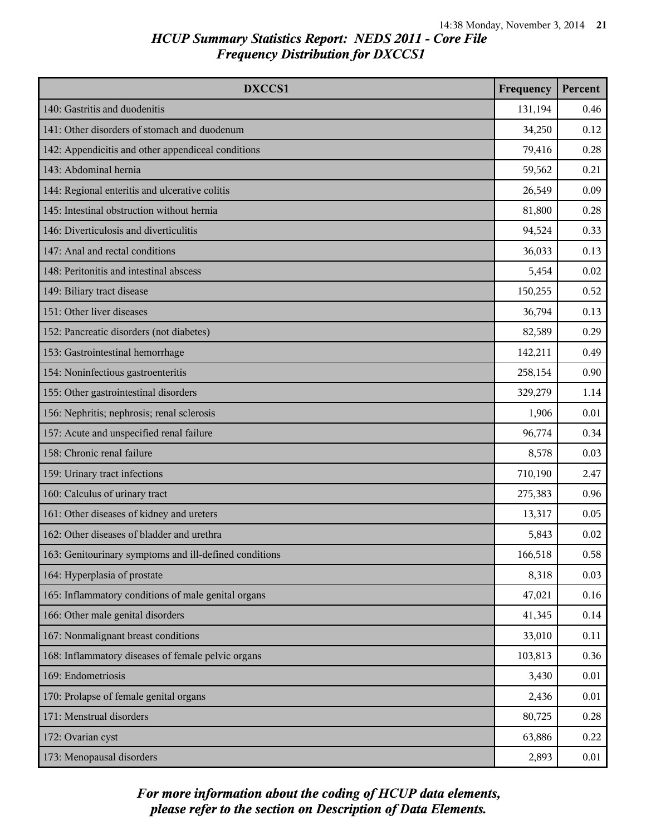| DXCCS1                                                 | Frequency | Percent |
|--------------------------------------------------------|-----------|---------|
| 140: Gastritis and duodenitis                          | 131,194   | 0.46    |
| 141: Other disorders of stomach and duodenum           | 34,250    | 0.12    |
| 142: Appendicitis and other appendiceal conditions     | 79,416    | 0.28    |
| 143: Abdominal hernia                                  | 59,562    | 0.21    |
| 144: Regional enteritis and ulcerative colitis         | 26,549    | 0.09    |
| 145: Intestinal obstruction without hernia             | 81,800    | 0.28    |
| 146: Diverticulosis and diverticulitis                 | 94,524    | 0.33    |
| 147: Anal and rectal conditions                        | 36,033    | 0.13    |
| 148: Peritonitis and intestinal abscess                | 5,454     | 0.02    |
| 149: Biliary tract disease                             | 150,255   | 0.52    |
| 151: Other liver diseases                              | 36,794    | 0.13    |
| 152: Pancreatic disorders (not diabetes)               | 82,589    | 0.29    |
| 153: Gastrointestinal hemorrhage                       | 142,211   | 0.49    |
| 154: Noninfectious gastroenteritis                     | 258,154   | 0.90    |
| 155: Other gastrointestinal disorders                  | 329,279   | 1.14    |
| 156: Nephritis; nephrosis; renal sclerosis             | 1,906     | 0.01    |
| 157: Acute and unspecified renal failure               | 96,774    | 0.34    |
| 158: Chronic renal failure                             | 8,578     | 0.03    |
| 159: Urinary tract infections                          | 710,190   | 2.47    |
| 160: Calculus of urinary tract                         | 275,383   | 0.96    |
| 161: Other diseases of kidney and ureters              | 13,317    | 0.05    |
| 162: Other diseases of bladder and urethra             | 5,843     | 0.02    |
| 163: Genitourinary symptoms and ill-defined conditions | 166,518   | 0.58    |
| 164: Hyperplasia of prostate                           | 8,318     | 0.03    |
| 165: Inflammatory conditions of male genital organs    | 47,021    | 0.16    |
| 166: Other male genital disorders                      | 41,345    | 0.14    |
| 167: Nonmalignant breast conditions                    | 33,010    | 0.11    |
| 168: Inflammatory diseases of female pelvic organs     | 103,813   | 0.36    |
| 169: Endometriosis                                     | 3,430     | 0.01    |
| 170: Prolapse of female genital organs                 | 2,436     | 0.01    |
| 171: Menstrual disorders                               | 80,725    | 0.28    |
| 172: Ovarian cyst                                      | 63,886    | 0.22    |
| 173: Menopausal disorders                              | 2,893     | 0.01    |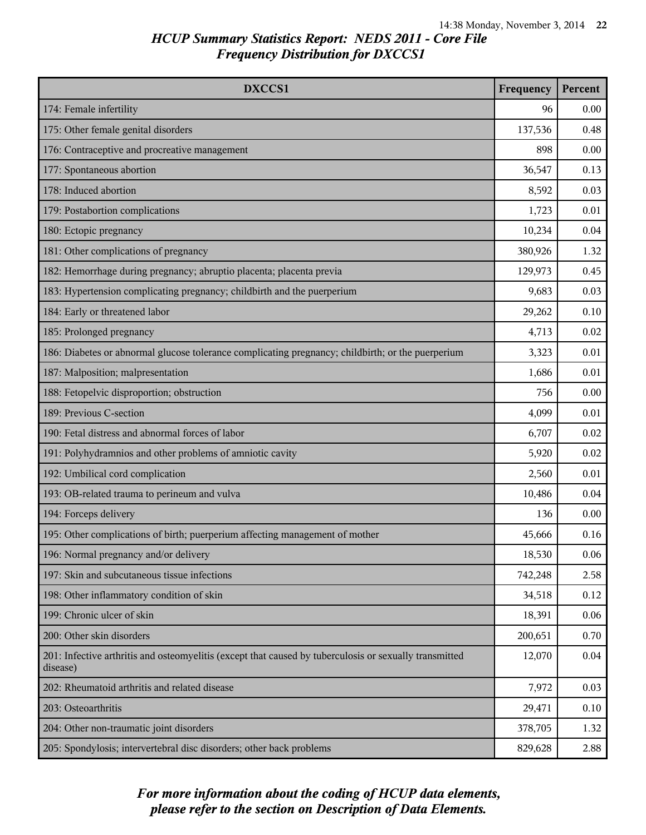| DXCCS1                                                                                                             | Frequency | Percent |
|--------------------------------------------------------------------------------------------------------------------|-----------|---------|
| 174: Female infertility                                                                                            | 96        | 0.00    |
| 175: Other female genital disorders                                                                                | 137,536   | 0.48    |
| 176: Contraceptive and procreative management                                                                      | 898       | 0.00    |
| 177: Spontaneous abortion                                                                                          | 36,547    | 0.13    |
| 178: Induced abortion                                                                                              | 8,592     | 0.03    |
| 179: Postabortion complications                                                                                    | 1,723     | 0.01    |
| 180: Ectopic pregnancy                                                                                             | 10,234    | 0.04    |
| 181: Other complications of pregnancy                                                                              | 380,926   | 1.32    |
| 182: Hemorrhage during pregnancy; abruptio placenta; placenta previa                                               | 129,973   | 0.45    |
| 183: Hypertension complicating pregnancy; childbirth and the puerperium                                            | 9,683     | 0.03    |
| 184: Early or threatened labor                                                                                     | 29,262    | 0.10    |
| 185: Prolonged pregnancy                                                                                           | 4,713     | 0.02    |
| 186: Diabetes or abnormal glucose tolerance complicating pregnancy; childbirth; or the puerperium                  | 3,323     | 0.01    |
| 187: Malposition; malpresentation                                                                                  | 1,686     | 0.01    |
| 188: Fetopelvic disproportion; obstruction                                                                         | 756       | 0.00    |
| 189: Previous C-section                                                                                            | 4,099     | 0.01    |
| 190: Fetal distress and abnormal forces of labor                                                                   | 6,707     | 0.02    |
| 191: Polyhydramnios and other problems of amniotic cavity                                                          | 5,920     | 0.02    |
| 192: Umbilical cord complication                                                                                   | 2,560     | 0.01    |
| 193: OB-related trauma to perineum and vulva                                                                       | 10,486    | 0.04    |
| 194: Forceps delivery                                                                                              | 136       | 0.00    |
| 195: Other complications of birth; puerperium affecting management of mother                                       | 45,666    | 0.16    |
| 196: Normal pregnancy and/or delivery                                                                              | 18,530    | 0.06    |
| 197: Skin and subcutaneous tissue infections                                                                       | 742,248   | 2.58    |
| 198: Other inflammatory condition of skin                                                                          | 34,518    | 0.12    |
| 199: Chronic ulcer of skin                                                                                         | 18,391    | 0.06    |
| 200: Other skin disorders                                                                                          | 200,651   | 0.70    |
| 201: Infective arthritis and osteomyelitis (except that caused by tuberculosis or sexually transmitted<br>disease) | 12,070    | 0.04    |
| 202: Rheumatoid arthritis and related disease                                                                      | 7,972     | 0.03    |
| 203: Osteoarthritis                                                                                                | 29,471    | 0.10    |
| 204: Other non-traumatic joint disorders                                                                           | 378,705   | 1.32    |
| 205: Spondylosis; intervertebral disc disorders; other back problems                                               | 829,628   | 2.88    |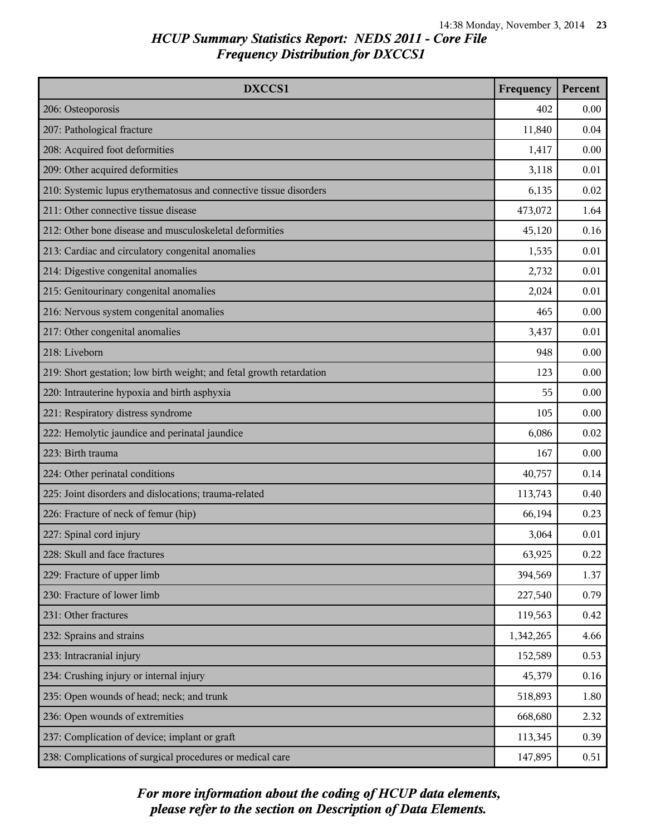| <b>DXCCS1</b>                                                        | Frequency | Percent |
|----------------------------------------------------------------------|-----------|---------|
| 206: Osteoporosis                                                    | 402       | 0.00    |
| 207: Pathological fracture                                           | 11,840    | 0.04    |
| 208: Acquired foot deformities                                       | 1,417     | 0.00    |
| 209: Other acquired deformities                                      | 3,118     | 0.01    |
| 210: Systemic lupus erythematosus and connective tissue disorders    | 6,135     | 0.02    |
| 211: Other connective tissue disease                                 | 473,072   | 1.64    |
| 212: Other bone disease and musculoskeletal deformities              | 45,120    | 0.16    |
| 213: Cardiac and circulatory congenital anomalies                    | 1,535     | 0.01    |
| 214: Digestive congenital anomalies                                  | 2,732     | 0.01    |
| 215: Genitourinary congenital anomalies                              | 2,024     | 0.01    |
| 216: Nervous system congenital anomalies                             | 465       | 0.00    |
| 217: Other congenital anomalies                                      | 3,437     | 0.01    |
| 218: Liveborn                                                        | 948       | 0.00    |
| 219: Short gestation; low birth weight; and fetal growth retardation | 123       | 0.00    |
| 220: Intrauterine hypoxia and birth asphyxia                         | 55        | 0.00    |
| 221: Respiratory distress syndrome                                   | 105       | 0.00    |
| 222: Hemolytic jaundice and perinatal jaundice                       | 6,086     | 0.02    |
| 223: Birth trauma                                                    | 167       | 0.00    |
| 224: Other perinatal conditions                                      | 40,757    | 0.14    |
| 225: Joint disorders and dislocations; trauma-related                | 113,743   | 0.40    |
| 226: Fracture of neck of femur (hip)                                 | 66,194    | 0.23    |
| 227: Spinal cord injury                                              | 3,064     | 0.01    |
| 228: Skull and face fractures                                        | 63,925    | 0.22    |
| 229: Fracture of upper limb                                          | 394,569   | 1.37    |
| 230: Fracture of lower limb                                          | 227,540   | 0.79    |
| 231: Other fractures                                                 | 119,563   | 0.42    |
| 232: Sprains and strains                                             | 1,342,265 | 4.66    |
| 233: Intracranial injury                                             | 152,589   | 0.53    |
| 234: Crushing injury or internal injury                              | 45,379    | 0.16    |
| 235: Open wounds of head; neck; and trunk                            | 518,893   | 1.80    |
| 236: Open wounds of extremities                                      | 668,680   | 2.32    |
| 237: Complication of device; implant or graft                        | 113,345   | 0.39    |
| 238: Complications of surgical procedures or medical care            | 147,895   | 0.51    |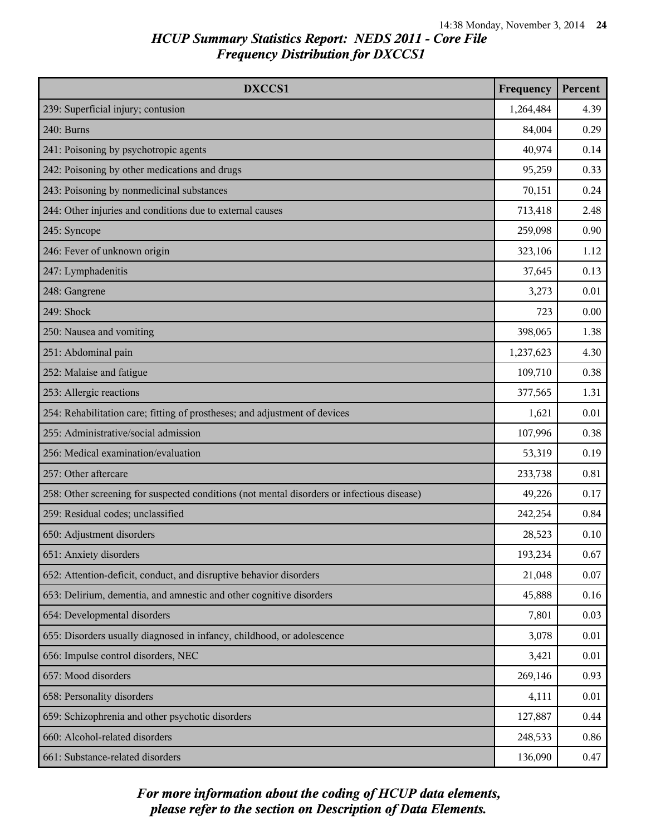| DXCCS1                                                                                     | Frequency | Percent |
|--------------------------------------------------------------------------------------------|-----------|---------|
| 239: Superficial injury; contusion                                                         | 1,264,484 | 4.39    |
| 240: Burns                                                                                 | 84,004    | 0.29    |
| 241: Poisoning by psychotropic agents                                                      | 40,974    | 0.14    |
| 242: Poisoning by other medications and drugs                                              | 95,259    | 0.33    |
| 243: Poisoning by nonmedicinal substances                                                  | 70,151    | 0.24    |
| 244: Other injuries and conditions due to external causes                                  | 713,418   | 2.48    |
| 245: Syncope                                                                               | 259,098   | 0.90    |
| 246: Fever of unknown origin                                                               | 323,106   | 1.12    |
| 247: Lymphadenitis                                                                         | 37,645    | 0.13    |
| 248: Gangrene                                                                              | 3,273     | 0.01    |
| 249: Shock                                                                                 | 723       | 0.00    |
| 250: Nausea and vomiting                                                                   | 398,065   | 1.38    |
| 251: Abdominal pain                                                                        | 1,237,623 | 4.30    |
| 252: Malaise and fatigue                                                                   | 109,710   | 0.38    |
| 253: Allergic reactions                                                                    | 377,565   | 1.31    |
| 254: Rehabilitation care; fitting of prostheses; and adjustment of devices                 | 1,621     | 0.01    |
| 255: Administrative/social admission                                                       | 107,996   | 0.38    |
| 256: Medical examination/evaluation                                                        | 53,319    | 0.19    |
| 257: Other aftercare                                                                       | 233,738   | 0.81    |
| 258: Other screening for suspected conditions (not mental disorders or infectious disease) | 49,226    | 0.17    |
| 259: Residual codes; unclassified                                                          | 242,254   | 0.84    |
| 650: Adjustment disorders                                                                  | 28,523    | 0.10    |
| 651: Anxiety disorders                                                                     | 193,234   | 0.67    |
| 652: Attention-deficit, conduct, and disruptive behavior disorders                         | 21,048    | 0.07    |
| 653: Delirium, dementia, and amnestic and other cognitive disorders                        | 45,888    | 0.16    |
| 654: Developmental disorders                                                               | 7,801     | 0.03    |
| 655: Disorders usually diagnosed in infancy, childhood, or adolescence                     | 3,078     | 0.01    |
| 656: Impulse control disorders, NEC                                                        | 3,421     | 0.01    |
| 657: Mood disorders                                                                        | 269,146   | 0.93    |
| 658: Personality disorders                                                                 | 4,111     | 0.01    |
| 659: Schizophrenia and other psychotic disorders                                           | 127,887   | 0.44    |
| 660: Alcohol-related disorders                                                             | 248,533   | 0.86    |
| 661: Substance-related disorders                                                           | 136,090   | 0.47    |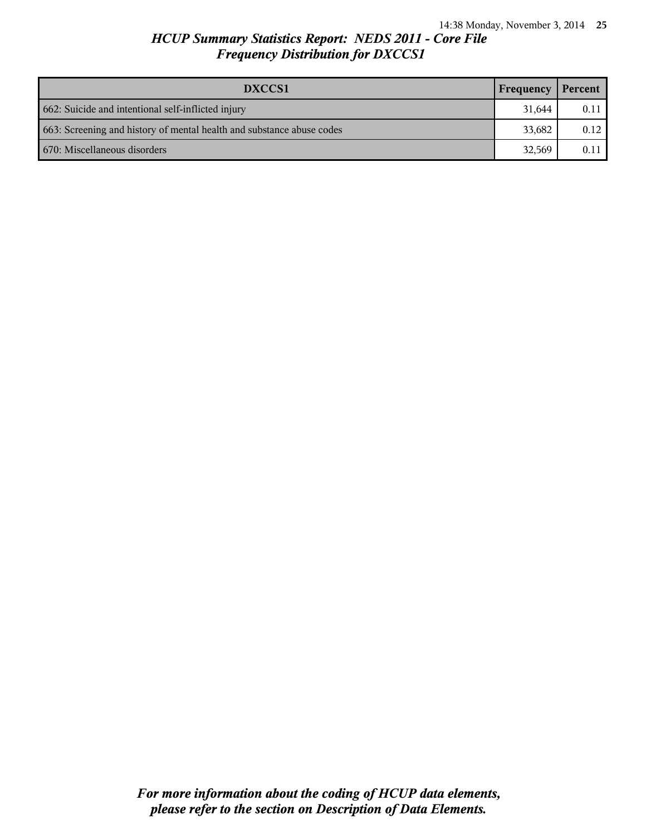| DXCCS1                                                                | Frequency | Percent |
|-----------------------------------------------------------------------|-----------|---------|
| 662: Suicide and intentional self-inflicted injury                    | 31.644    | 0.11    |
| 663: Screening and history of mental health and substance abuse codes | 33.682    | 0.12    |
| 670: Miscellaneous disorders                                          | 32,569    | 0.11    |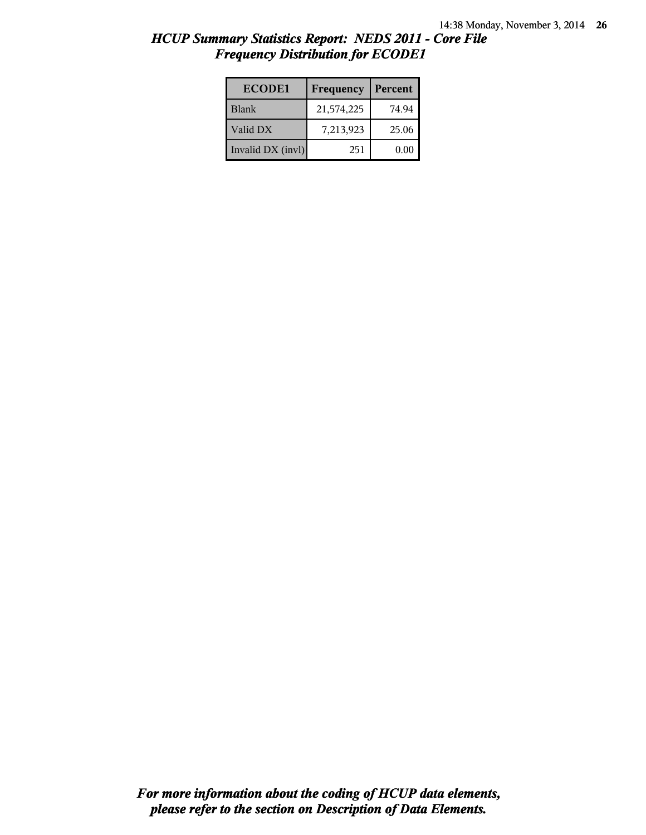| <b>ECODE1</b>     | Frequency  | Percent |
|-------------------|------------|---------|
| <b>Blank</b>      | 21,574,225 | 74.94   |
| Valid DX          | 7,213,923  | 25.06   |
| Invalid DX (invl) | 251        | 0.00    |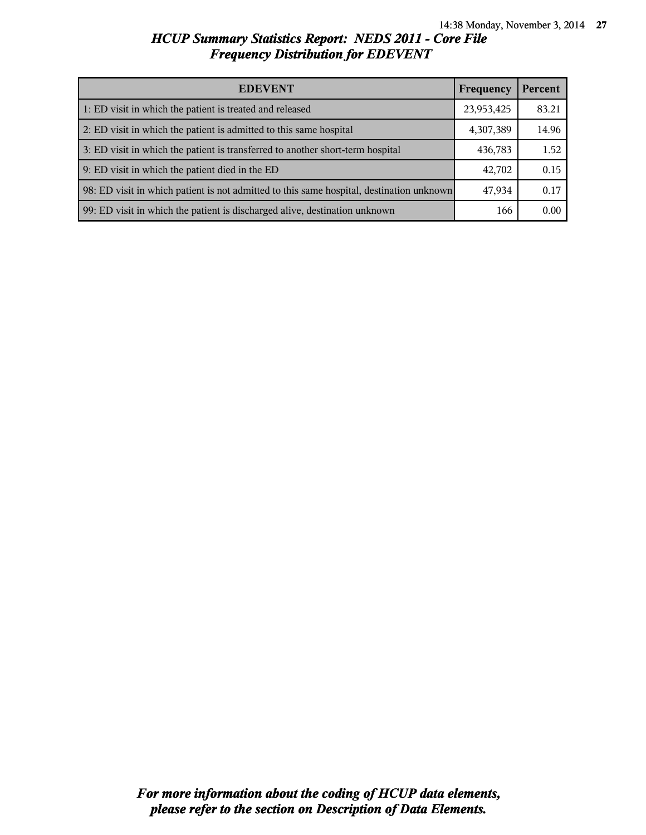| <b>EDEVENT</b>                                                                           | Frequency  | Percent |
|------------------------------------------------------------------------------------------|------------|---------|
| 1: ED visit in which the patient is treated and released                                 | 23,953,425 | 83.21   |
| 2: ED visit in which the patient is admitted to this same hospital                       | 4,307,389  | 14.96   |
| 3: ED visit in which the patient is transferred to another short-term hospital           | 436,783    | 1.52    |
| 9: ED visit in which the patient died in the ED                                          | 42,702     | 0.15    |
| 98: ED visit in which patient is not admitted to this same hospital, destination unknown | 47,934     | 0.17    |
| 99: ED visit in which the patient is discharged alive, destination unknown               | 166        | 0.00    |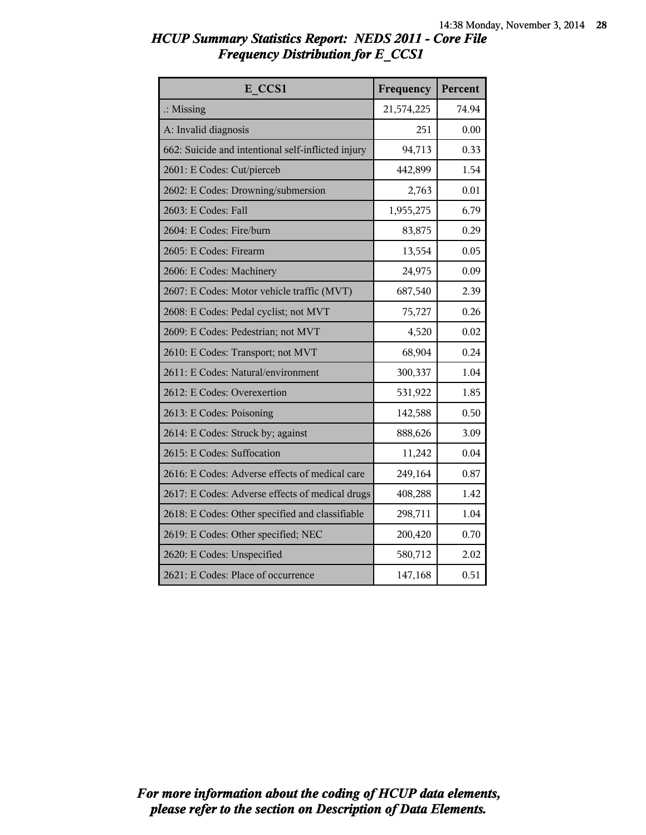| E CCS1                                             | Frequency  | Percent |
|----------------------------------------------------|------------|---------|
| $\therefore$ Missing                               | 21,574,225 | 74.94   |
| A: Invalid diagnosis                               | 251        | 0.00    |
| 662: Suicide and intentional self-inflicted injury | 94,713     | 0.33    |
| 2601: E Codes: Cut/pierceb                         | 442,899    | 1.54    |
| 2602: E Codes: Drowning/submersion                 | 2,763      | 0.01    |
| 2603: E Codes: Fall                                | 1,955,275  | 6.79    |
| 2604: E Codes: Fire/burn                           | 83,875     | 0.29    |
| 2605: E Codes: Firearm                             | 13,554     | 0.05    |
| 2606: E Codes: Machinery                           | 24,975     | 0.09    |
| 2607: E Codes: Motor vehicle traffic (MVT)         | 687,540    | 2.39    |
| 2608: E Codes: Pedal cyclist; not MVT              | 75,727     | 0.26    |
| 2609: E Codes: Pedestrian; not MVT                 | 4,520      | 0.02    |
| 2610: E Codes: Transport; not MVT                  | 68,904     | 0.24    |
| 2611: E Codes: Natural/environment                 | 300,337    | 1.04    |
| 2612: E Codes: Overexertion                        | 531,922    | 1.85    |
| 2613: E Codes: Poisoning                           | 142,588    | 0.50    |
| 2614: E Codes: Struck by; against                  | 888,626    | 3.09    |
| 2615: E Codes: Suffocation                         | 11,242     | 0.04    |
| 2616: E Codes: Adverse effects of medical care     | 249,164    | 0.87    |
| 2617: E Codes: Adverse effects of medical drugs    | 408,288    | 1.42    |
| 2618: E Codes: Other specified and classifiable    | 298,711    | 1.04    |
| 2619: E Codes: Other specified; NEC                | 200,420    | 0.70    |
| 2620: E Codes: Unspecified                         | 580,712    | 2.02    |
| 2621: E Codes: Place of occurrence                 | 147,168    | 0.51    |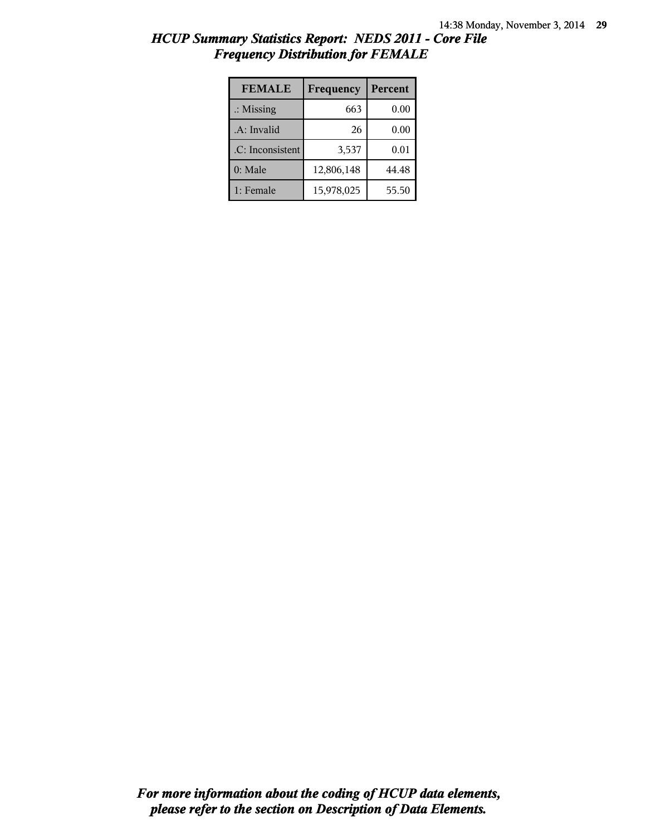| <b>FEMALE</b>        | Frequency  | Percent |
|----------------------|------------|---------|
| $\therefore$ Missing | 663        | 0.00    |
| .A: Invalid          | 26         | 0.00    |
| .C: Inconsistent     | 3,537      | 0.01    |
| 0: Male              | 12,806,148 | 44.48   |
| 1: Female            | 15,978,025 | 55.50   |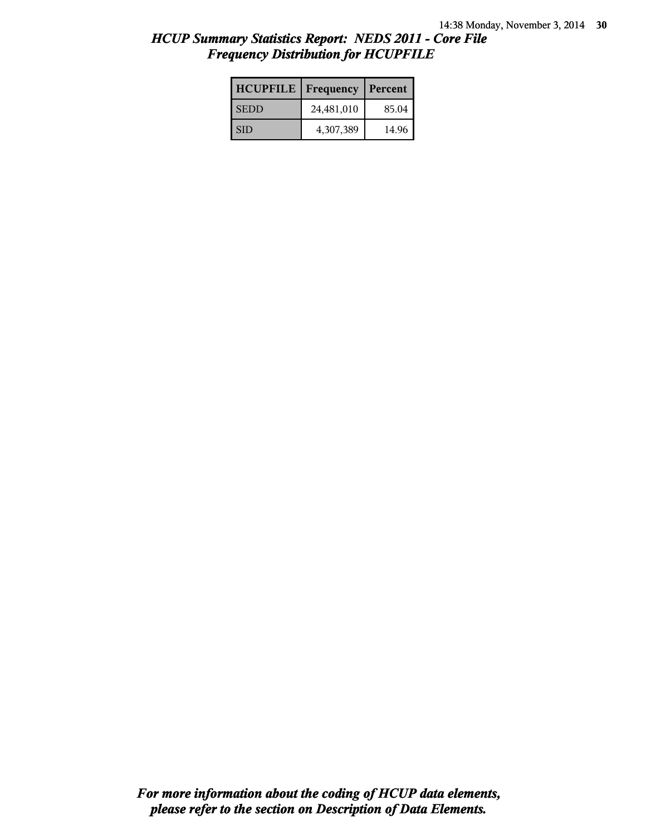| <b>HCUPFILE</b> | Frequency  | Percent |
|-----------------|------------|---------|
| <b>SEDD</b>     | 24,481,010 | 85.04   |
| <b>SID</b>      | 4,307,389  | 14.96   |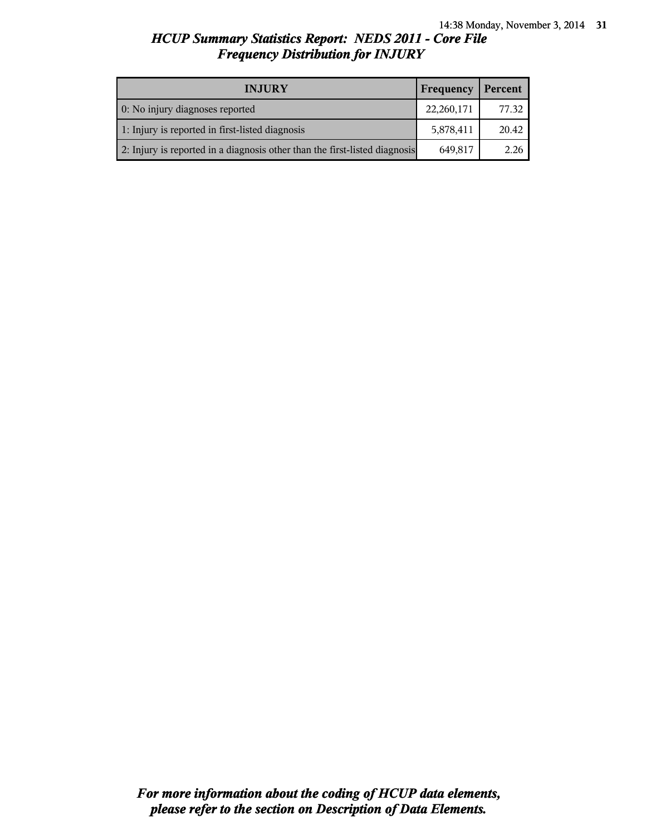| <b>INJURY</b>                                                              | Frequency  | Percent |
|----------------------------------------------------------------------------|------------|---------|
| 0: No injury diagnoses reported                                            | 22,260,171 | 77.32   |
| 1: Injury is reported in first-listed diagnosis                            | 5,878,411  | 20.42   |
| 2: Injury is reported in a diagnosis other than the first-listed diagnosis | 649,817    | 2.26    |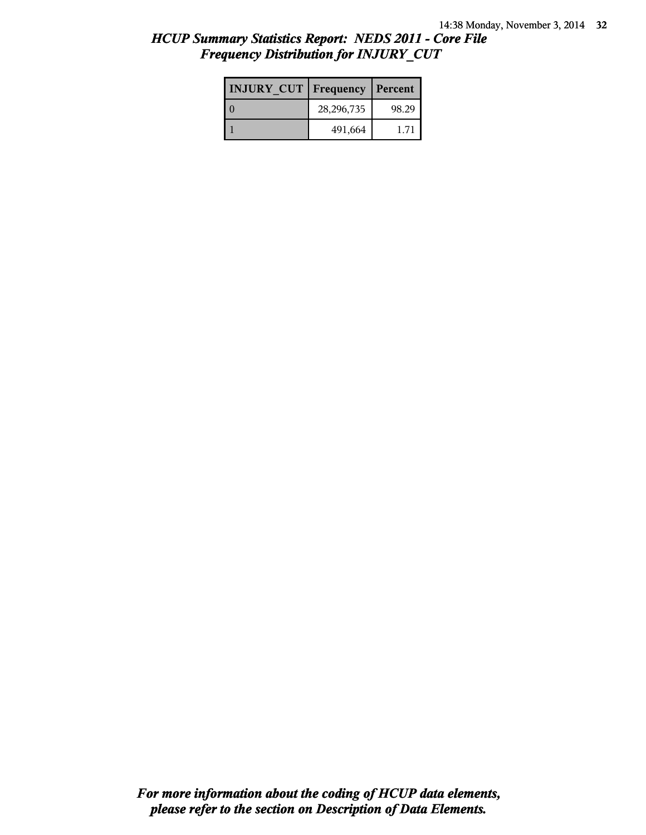| <b>INJURY CUT   Frequency</b> |            | Percent |
|-------------------------------|------------|---------|
|                               | 28,296,735 | 98.29   |
|                               | 491,664    | 1.71    |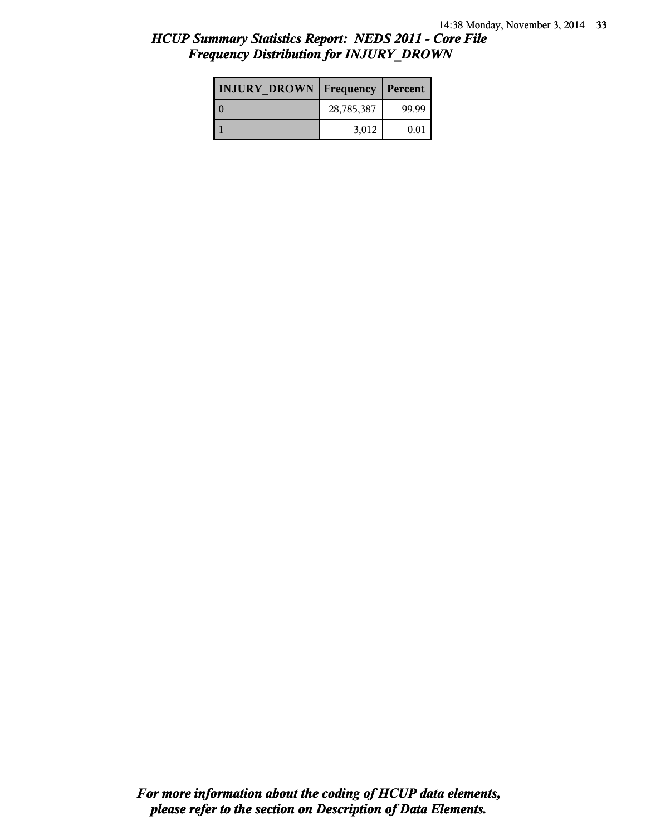| <b>INJURY DROWN</b> | <b>Frequency</b> | Percent |
|---------------------|------------------|---------|
|                     | 28,785,387       | 99.99   |
|                     | 3,012            | 0.01    |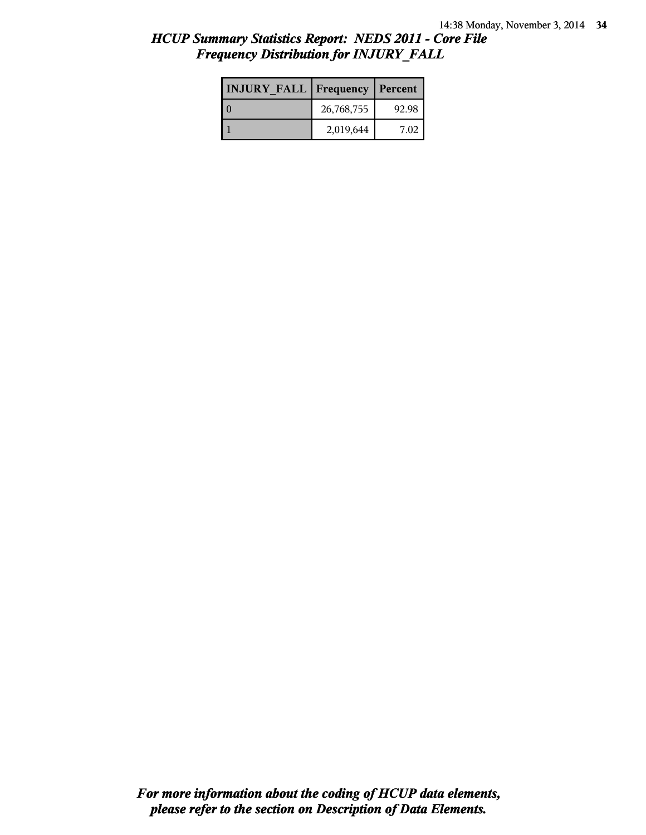| <b>INJURY FALL   Frequency   Percent</b> |            |       |
|------------------------------------------|------------|-------|
|                                          | 26,768,755 | 92.98 |
|                                          | 2,019,644  | 7.02  |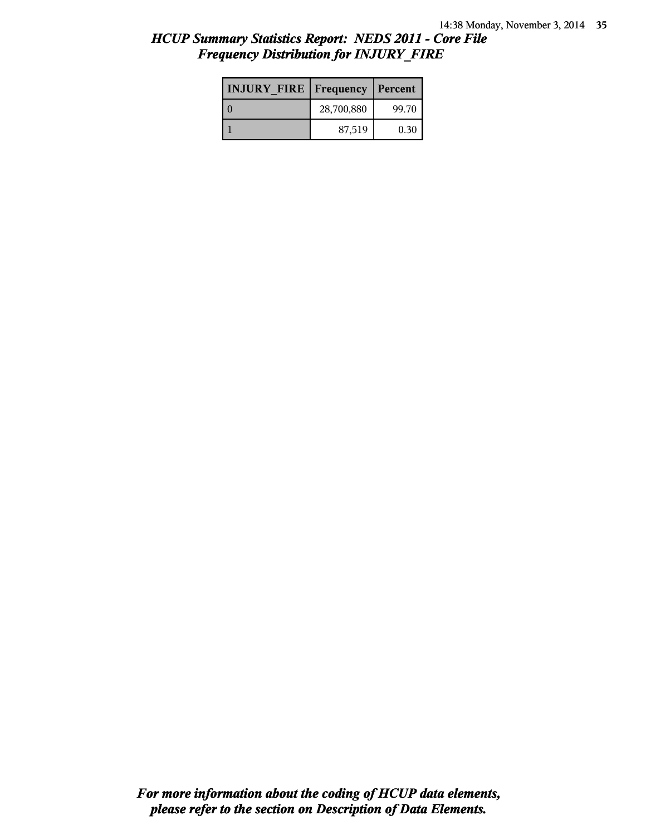| <b>INJURY FIRE   Frequency   Percent</b> |            |       |
|------------------------------------------|------------|-------|
|                                          | 28,700,880 | 99.70 |
|                                          | 87,519     | 0.30  |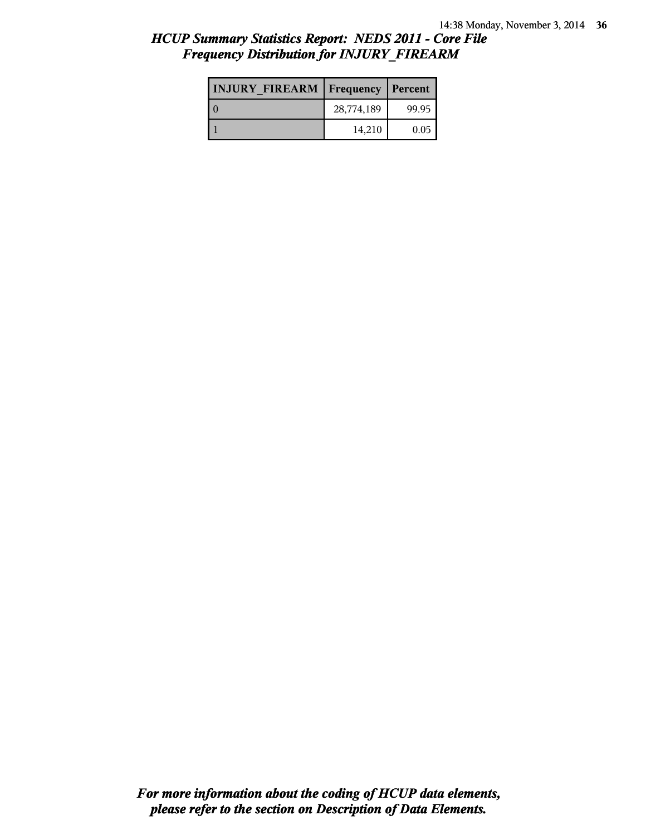| <b>INJURY FIREARM   Frequency</b> |            | Percent |
|-----------------------------------|------------|---------|
|                                   | 28,774,189 | 99.95   |
|                                   | 14,210     | 0.05    |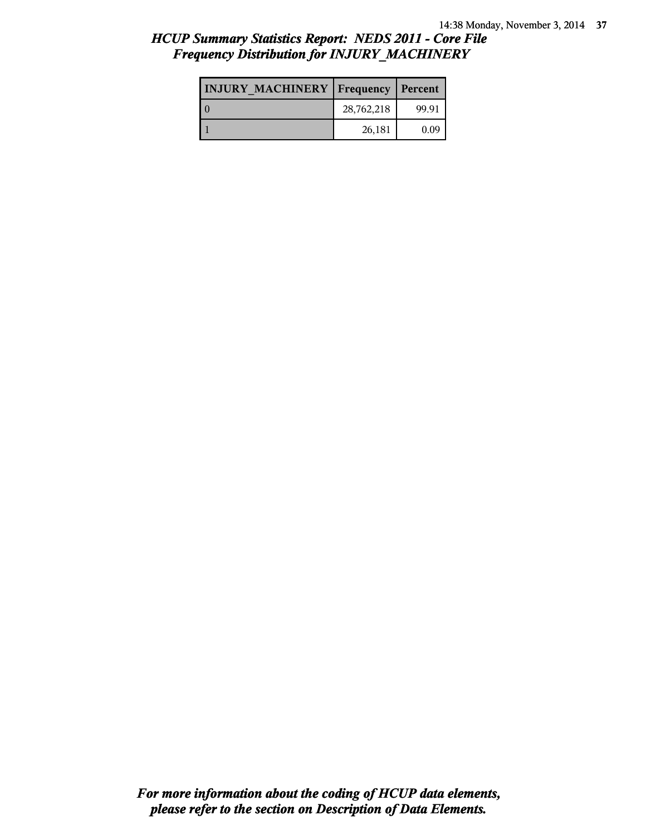| <b>INJURY MACHINERY   Frequency   Percent</b> |            |       |
|-----------------------------------------------|------------|-------|
| LΩ                                            | 28,762,218 | 99.91 |
|                                               | 26,181     | 0.09  |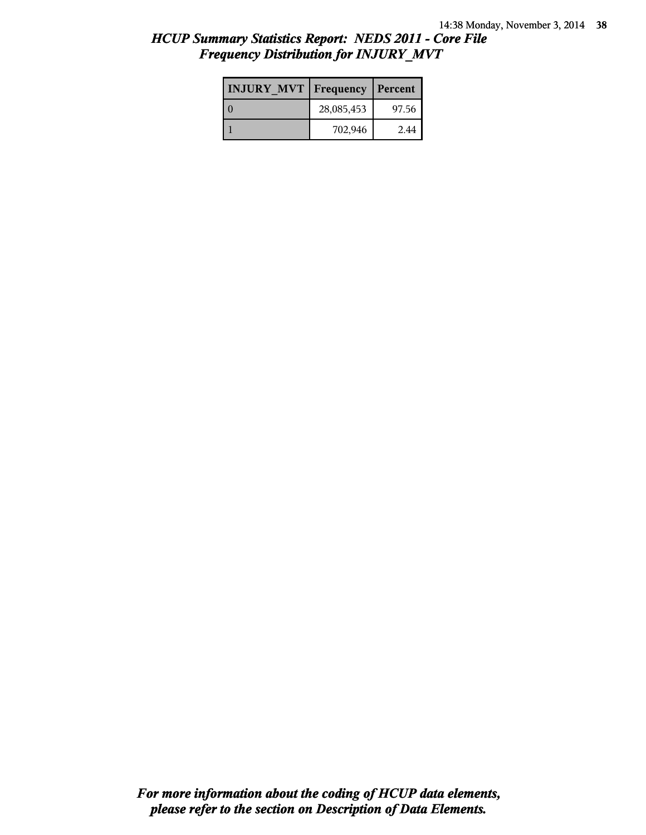| <b>INJURY MVT</b> | Frequency   Percent |       |
|-------------------|---------------------|-------|
|                   | 28,085,453          | 97.56 |
|                   | 702,946             | 2.44  |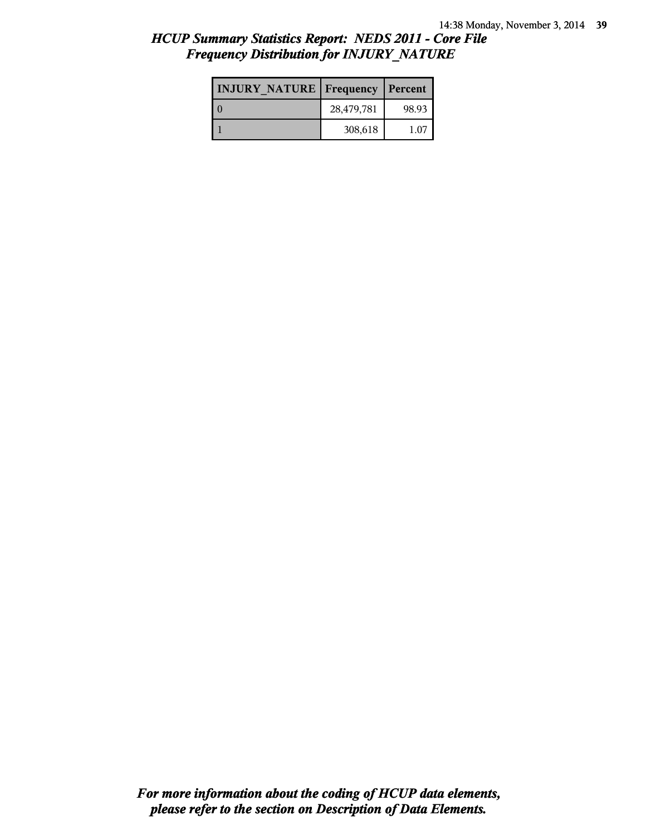| <b>INJURY NATURE Frequency</b> |            | Percent |
|--------------------------------|------------|---------|
|                                | 28,479,781 | 98.93   |
|                                | 308,618    | 1.07    |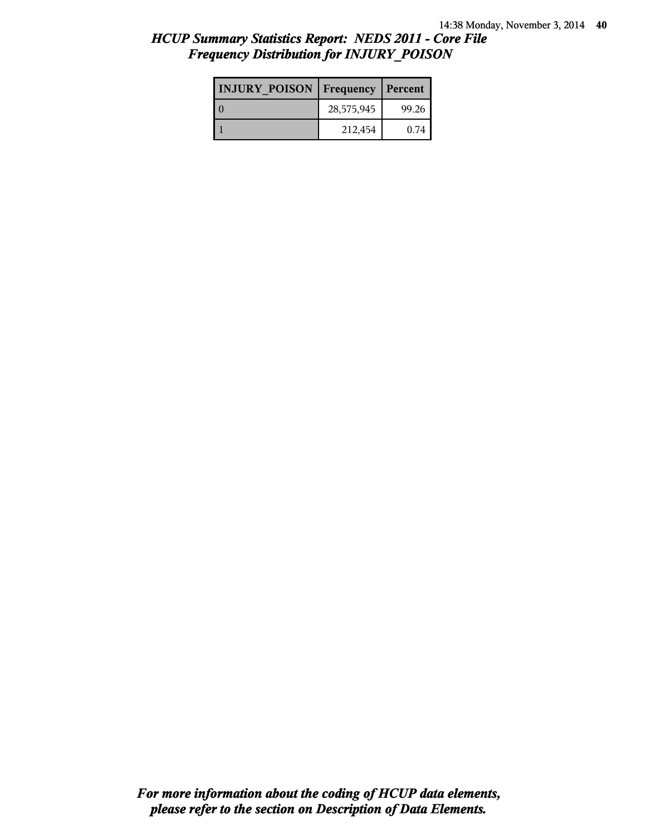| <b>INJURY POISON</b> | Frequency  | Percent |
|----------------------|------------|---------|
|                      | 28,575,945 | 99.26   |
|                      | 212,454    | 0.74    |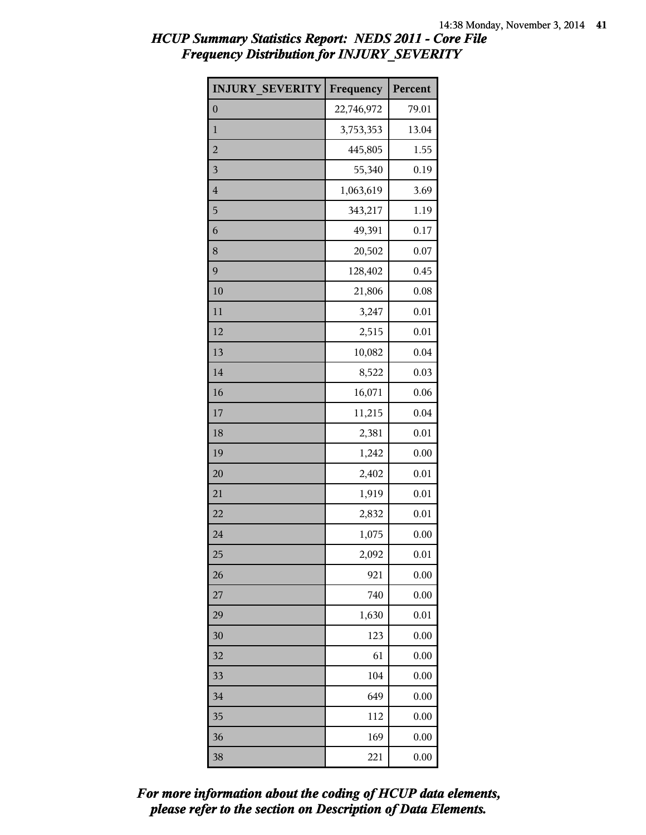| <b>INJURY SEVERITY</b>  | Frequency  | Percent |
|-------------------------|------------|---------|
| $\boldsymbol{0}$        | 22,746,972 | 79.01   |
| $\mathbf{1}$            | 3,753,353  | 13.04   |
| $\overline{a}$          | 445,805    | 1.55    |
| $\overline{\mathbf{3}}$ | 55,340     | 0.19    |
| $\overline{4}$          | 1,063,619  | 3.69    |
| 5                       | 343,217    | 1.19    |
| 6                       | 49,391     | 0.17    |
| 8                       | 20,502     | 0.07    |
| 9                       | 128,402    | 0.45    |
| 10                      | 21,806     | 0.08    |
| 11                      | 3,247      | 0.01    |
| 12                      | 2,515      | 0.01    |
| 13                      | 10,082     | 0.04    |
| 14                      | 8,522      | 0.03    |
| 16                      | 16,071     | 0.06    |
| 17                      | 11,215     | 0.04    |
| 18                      | 2,381      | 0.01    |
| 19                      | 1,242      | 0.00    |
| 20                      | 2,402      | 0.01    |
| 21                      | 1,919      | 0.01    |
| 22                      | 2,832      | 0.01    |
| 24                      | 1,075      | 0.00    |
| 25                      | 2,092      | 0.01    |
| 26                      | 921        | 0.00    |
| 27                      | 740        | 0.00    |
| 29                      | 1,630      | 0.01    |
| 30                      | 123        | 0.00    |
| 32                      | 61         | 0.00    |
| 33                      | 104        | 0.00    |
| 34                      | 649        | 0.00    |
| 35                      | 112        | 0.00    |
| 36                      | 169        | 0.00    |
| 38                      | 221        | 0.00    |

*please refer to the section on Description of Data Elements. For more information about the coding of HCUP data elements,*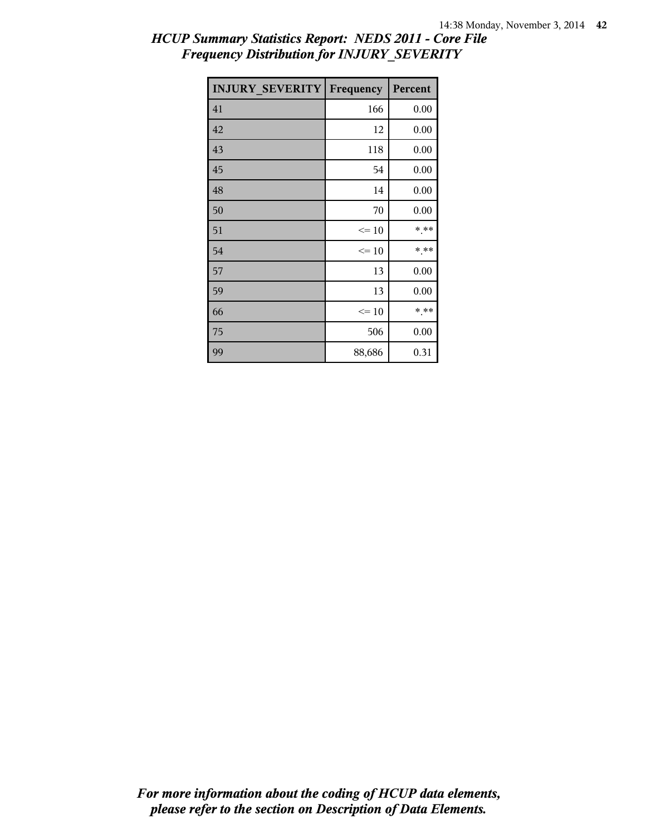| <b>INJURY SEVERITY</b> | Frequency | Percent |
|------------------------|-----------|---------|
| 41                     | 166       | 0.00    |
| 42                     | 12        | 0.00    |
| 43                     | 118       | 0.00    |
| 45                     | 54        | 0.00    |
| 48                     | 14        | 0.00    |
| 50                     | 70        | 0.00    |
| 51                     | $\leq 10$ | * **    |
| 54                     | $\leq 10$ | * **    |
| 57                     | 13        | 0.00    |
| 59                     | 13        | 0.00    |
| 66                     | $\leq 10$ | * **    |
| 75                     | 506       | 0.00    |
| 99                     | 88,686    | 0.31    |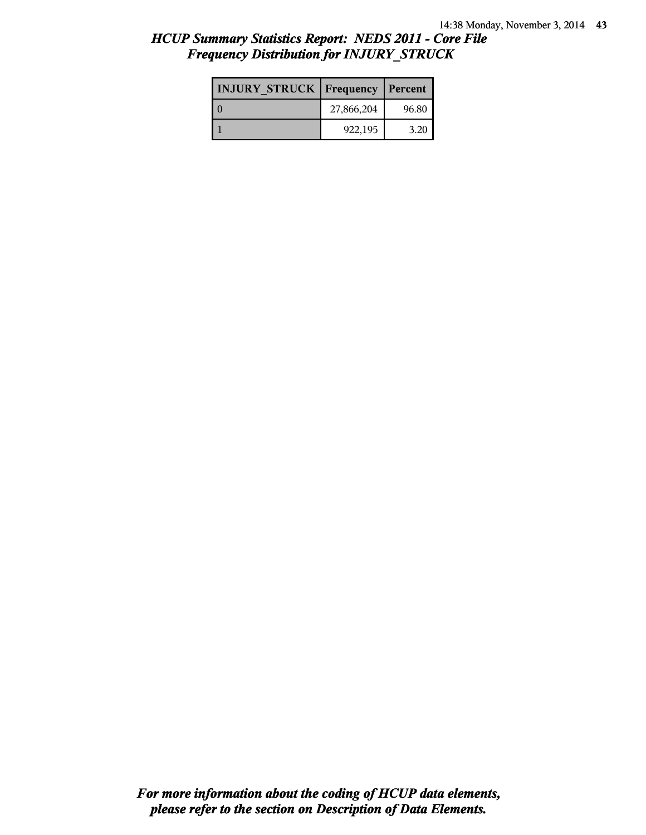| <b>INJURY STRUCK   Frequency</b> |            | Percent |
|----------------------------------|------------|---------|
|                                  | 27,866,204 | 96.80   |
|                                  | 922.195    | 3.20    |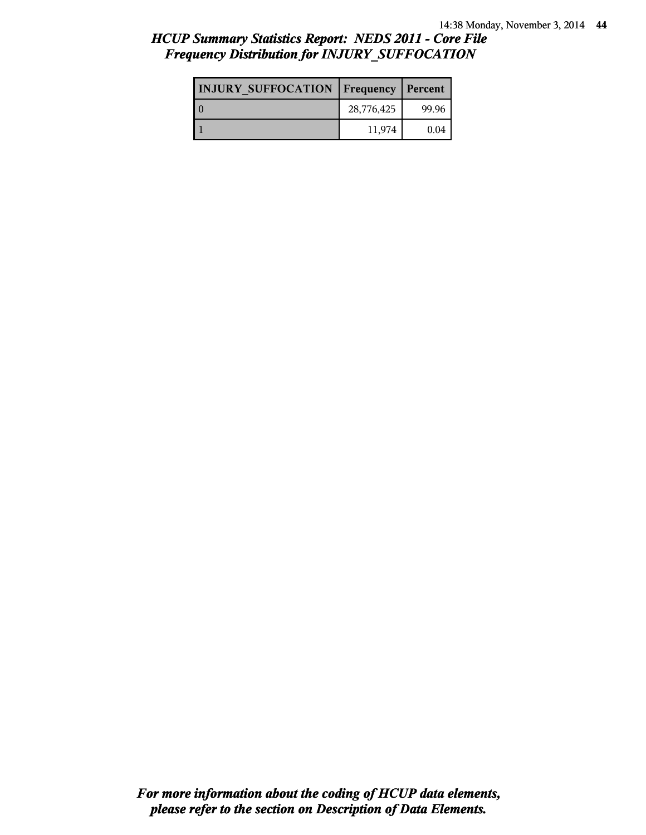## *HCUP Summary Statistics Report: NEDS 2011 - Core File Frequency Distribution for INJURY\_SUFFOCATION*

| <b>INJURY SUFFOCATION   Frequency   Percent</b> |            |       |
|-------------------------------------------------|------------|-------|
|                                                 | 28,776,425 | 99.96 |
|                                                 | 11,974     | 0.04  |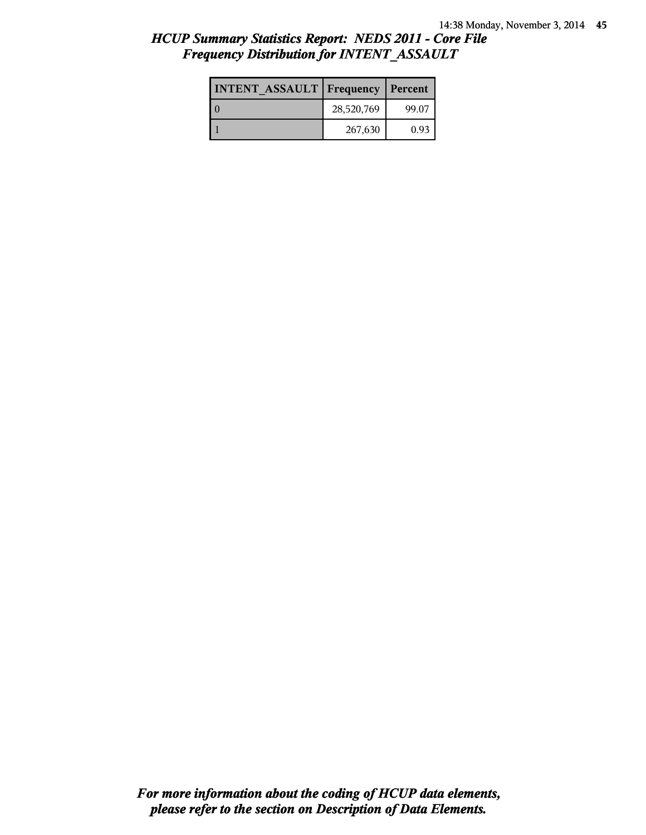| <b>INTENT ASSAULT Frequency</b> |            | Percent |
|---------------------------------|------------|---------|
|                                 | 28,520,769 | 99.07   |
|                                 | 267,630    | 0.93    |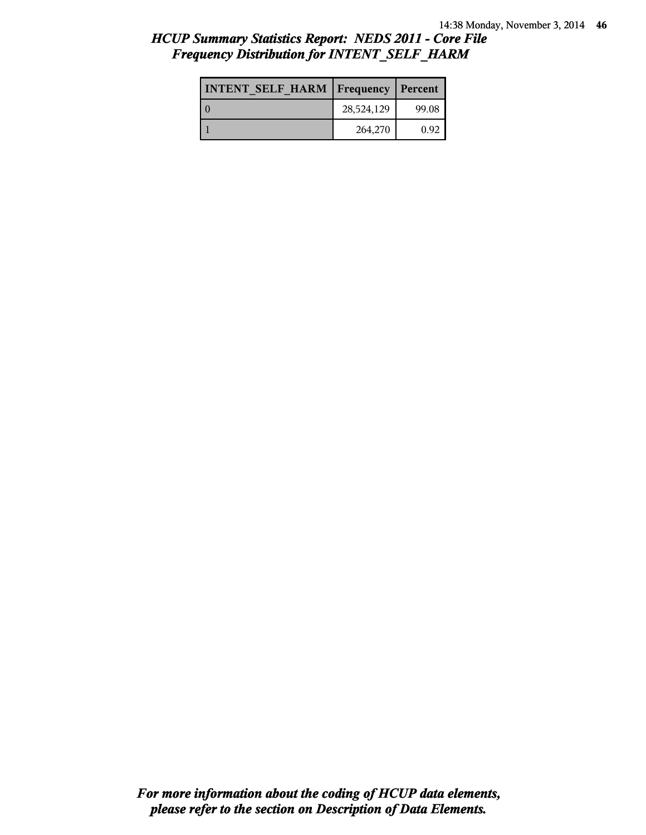| <b>INTENT SELF HARM   Frequency   Percent</b> |            |       |
|-----------------------------------------------|------------|-------|
| l 0                                           | 28,524,129 | 99.08 |
|                                               | 264,270    | 0.92  |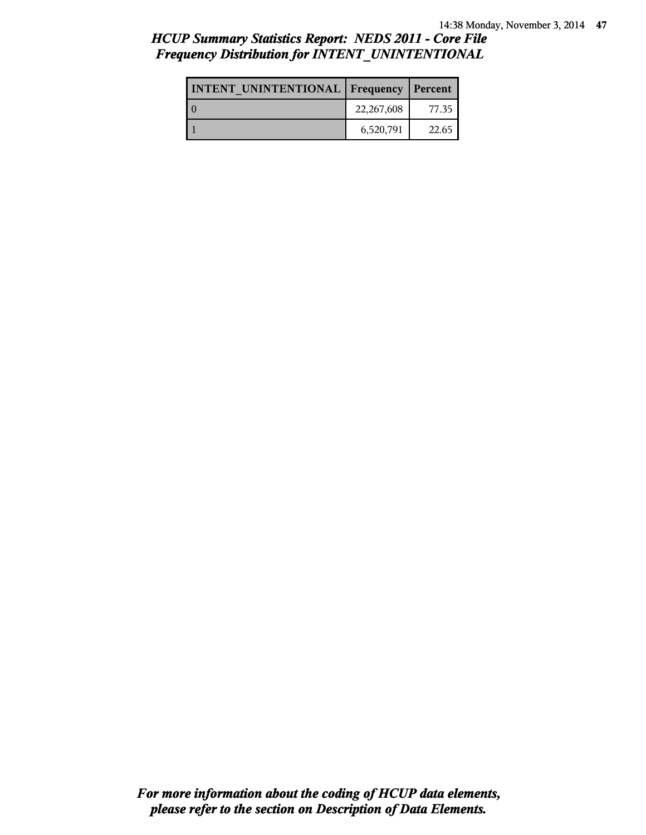# *HCUP Summary Statistics Report: NEDS 2011 - Core File Frequency Distribution for INTENT\_UNINTENTIONAL*

| <b>INTENT UNINTENTIONAL Frequency Percent</b> |            |       |
|-----------------------------------------------|------------|-------|
|                                               | 22,267,608 | 77.35 |
|                                               | 6,520,791  | 22.65 |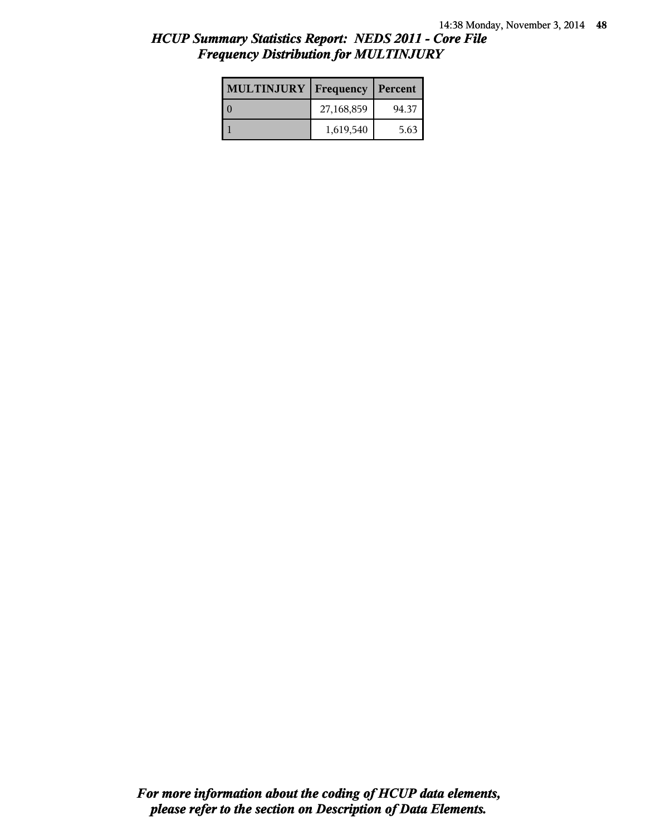| <b>MULTINJURY</b> | Frequency  | Percent |
|-------------------|------------|---------|
|                   | 27,168,859 | 94.37   |
|                   | 1,619,540  | 5.63    |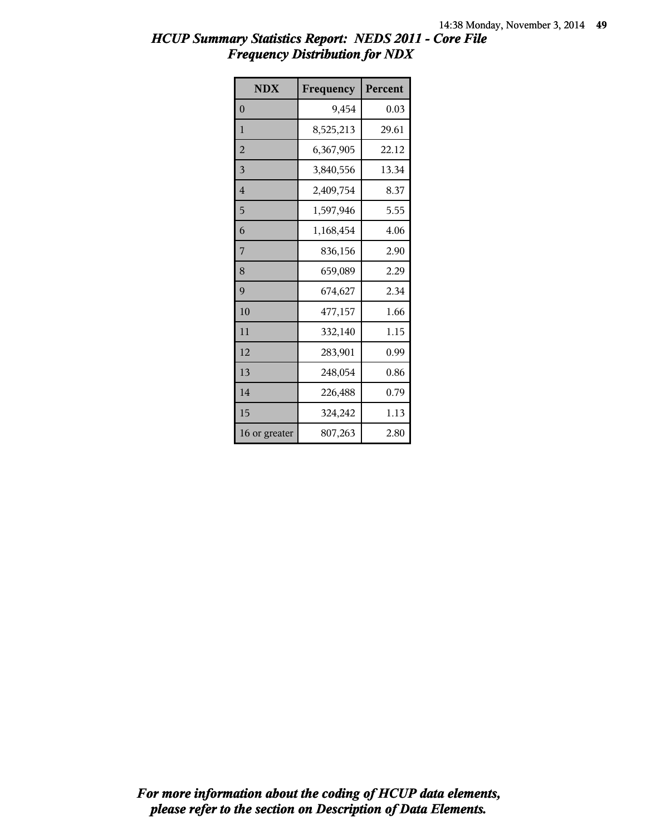| <b>NDX</b>     | Frequency | Percent |
|----------------|-----------|---------|
| $\overline{0}$ | 9,454     | 0.03    |
| 1              | 8,525,213 | 29.61   |
| $\overline{2}$ | 6,367,905 | 22.12   |
| 3              | 3,840,556 | 13.34   |
| $\overline{4}$ | 2,409,754 | 8.37    |
| 5              | 1,597,946 | 5.55    |
| 6              | 1,168,454 | 4.06    |
| 7              | 836,156   | 2.90    |
| 8              | 659,089   | 2.29    |
| 9              | 674,627   | 2.34    |
| 10             | 477,157   | 1.66    |
| 11             | 332,140   | 1.15    |
| 12             | 283,901   | 0.99    |
| 13             | 248,054   | 0.86    |
| 14             | 226,488   | 0.79    |
| 15             | 324,242   | 1.13    |
| 16 or greater  | 807,263   | 2.80    |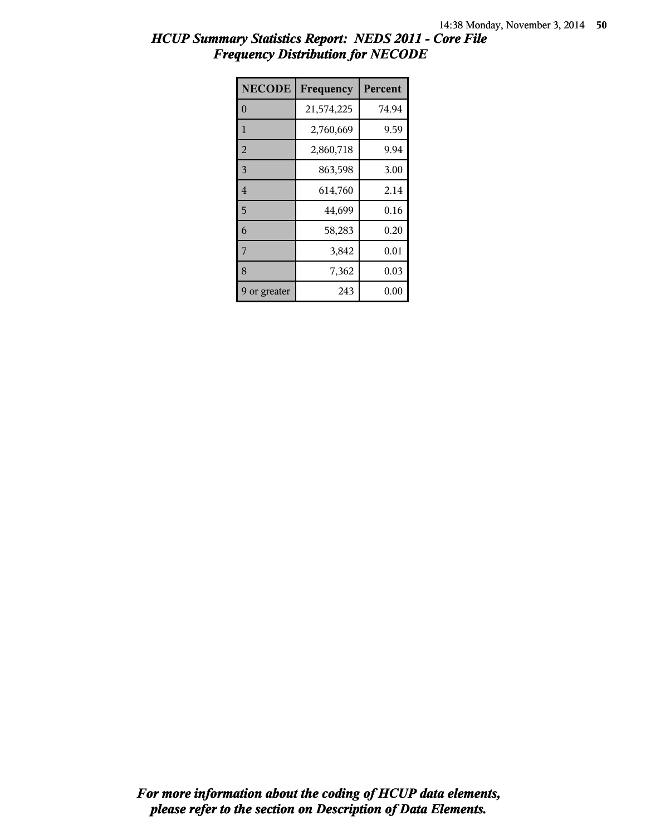| <b>NECODE</b>  | Frequency  | Percent |
|----------------|------------|---------|
| $\theta$       | 21,574,225 | 74.94   |
| $\mathbf{1}$   | 2,760,669  | 9.59    |
| $\overline{2}$ | 2,860,718  | 9.94    |
| 3              | 863,598    | 3.00    |
| $\overline{4}$ | 614,760    | 2.14    |
| 5              | 44,699     | 0.16    |
| 6              | 58,283     | 0.20    |
| 7              | 3,842      | 0.01    |
| 8              | 7,362      | 0.03    |
| or greater     | 243        | 0.00    |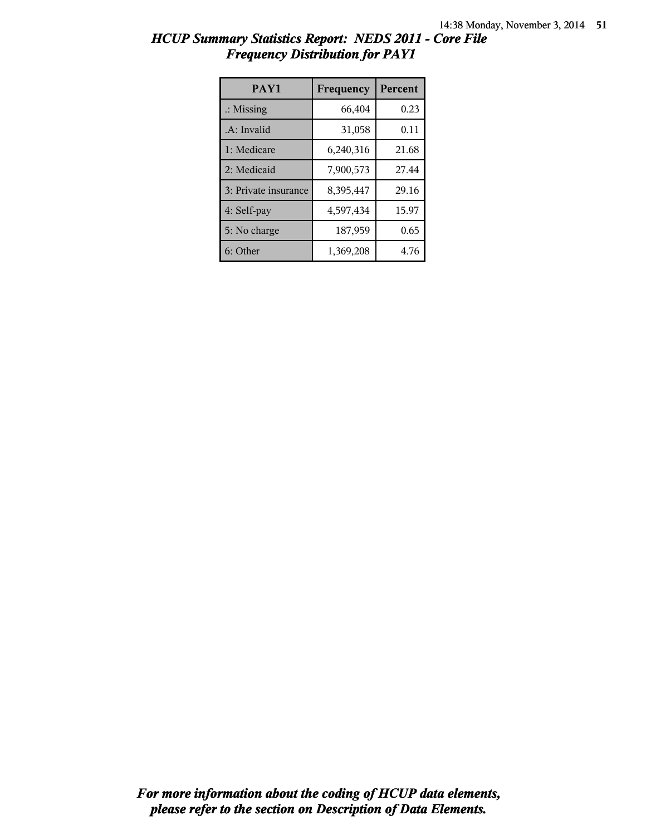| PAY1                 | Frequency | Percent |
|----------------------|-----------|---------|
| $\therefore$ Missing | 66,404    | 0.23    |
| .A: Invalid          | 31,058    | 0.11    |
| 1: Medicare          | 6,240,316 | 21.68   |
| 2: Medicaid          | 7,900,573 | 27.44   |
| 3: Private insurance | 8,395,447 | 29.16   |
| 4: Self-pay          | 4,597,434 | 15.97   |
| 5: No charge         | 187,959   | 0.65    |
| 6: Other             | 1,369,208 | 4.76    |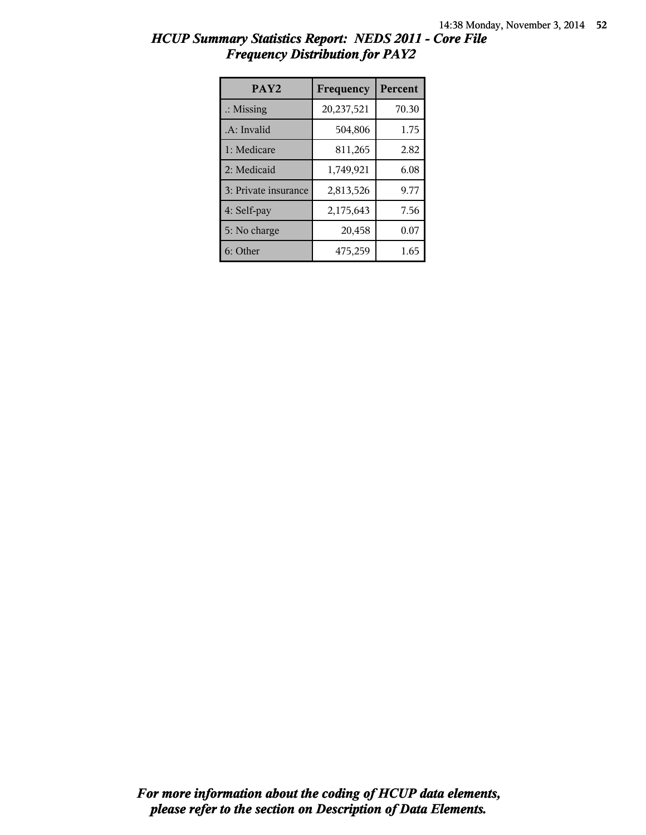| PAY <sub>2</sub>     | Frequency  | <b>Percent</b> |
|----------------------|------------|----------------|
| $\therefore$ Missing | 20,237,521 | 70.30          |
| .A: Invalid          | 504,806    | 1.75           |
| 1: Medicare          | 811,265    | 2.82           |
| 2: Medicaid          | 1,749,921  | 6.08           |
| 3: Private insurance | 2,813,526  | 9.77           |
| 4: Self-pay          | 2,175,643  | 7.56           |
| 5: No charge         | 20,458     | 0.07           |
| 6: Other             | 475,259    | 1.65           |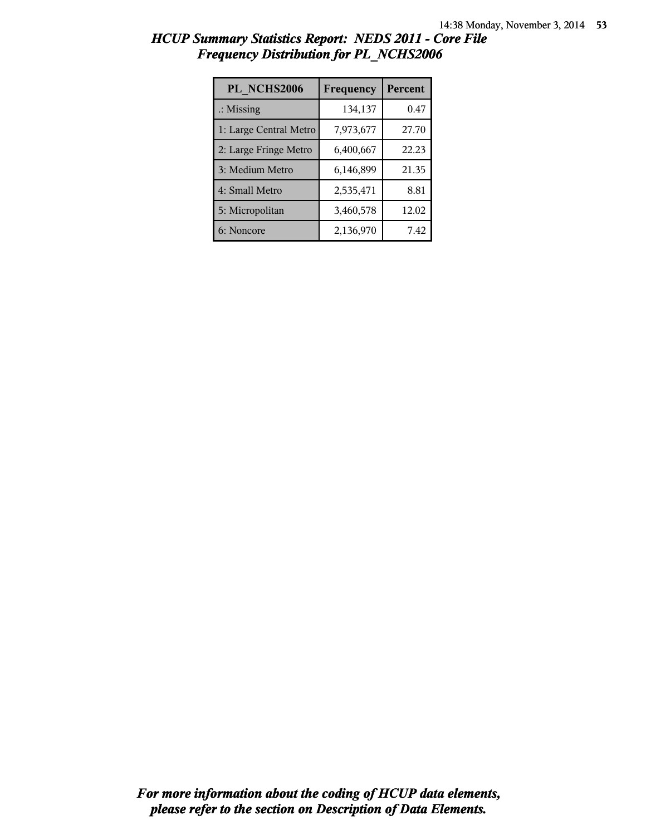| PL NCHS2006            | Frequency | Percent |
|------------------------|-----------|---------|
| $\therefore$ Missing   | 134,137   | 0.47    |
| 1: Large Central Metro | 7,973,677 | 27.70   |
| 2: Large Fringe Metro  | 6,400,667 | 22.23   |
| 3: Medium Metro        | 6,146,899 | 21.35   |
| 4: Small Metro         | 2,535,471 | 8.81    |
| 5: Micropolitan        | 3,460,578 | 12.02   |
| 6: Noncore             | 2,136,970 | 7.42    |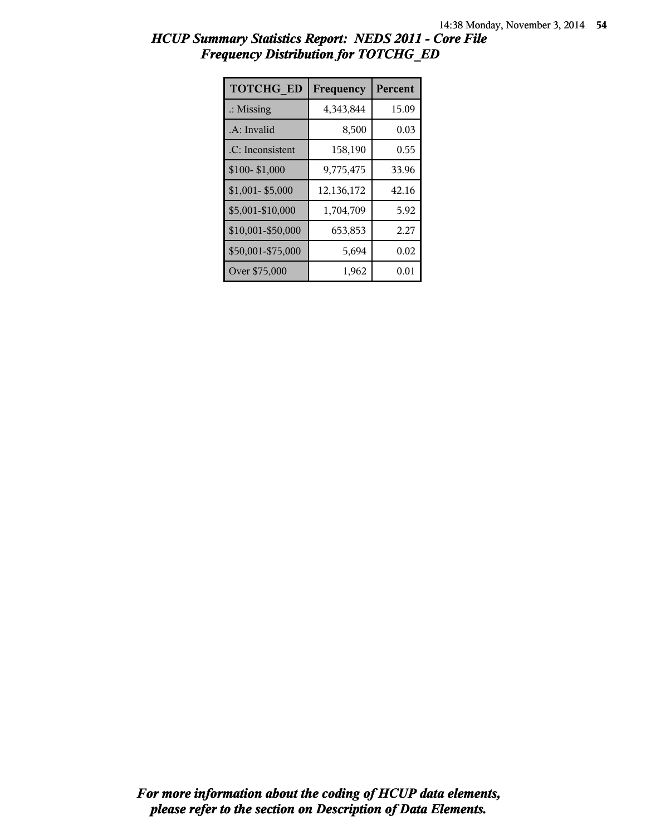| <b>TOTCHG ED</b>     | Frequency  | <b>Percent</b> |
|----------------------|------------|----------------|
| $\therefore$ Missing | 4,343,844  | 15.09          |
| .A: Invalid          | 8,500      | 0.03           |
| .C: Inconsistent     | 158,190    | 0.55           |
| \$100-\$1,000        | 9,775,475  | 33.96          |
| $$1,001 - $5,000$    | 12,136,172 | 42.16          |
| \$5,001-\$10,000     | 1,704,709  | 5.92           |
| \$10,001-\$50,000    | 653,853    | 2.27           |
| \$50,001-\$75,000    | 5,694      | 0.02           |
| Over \$75,000        | 1,962      | 0.01           |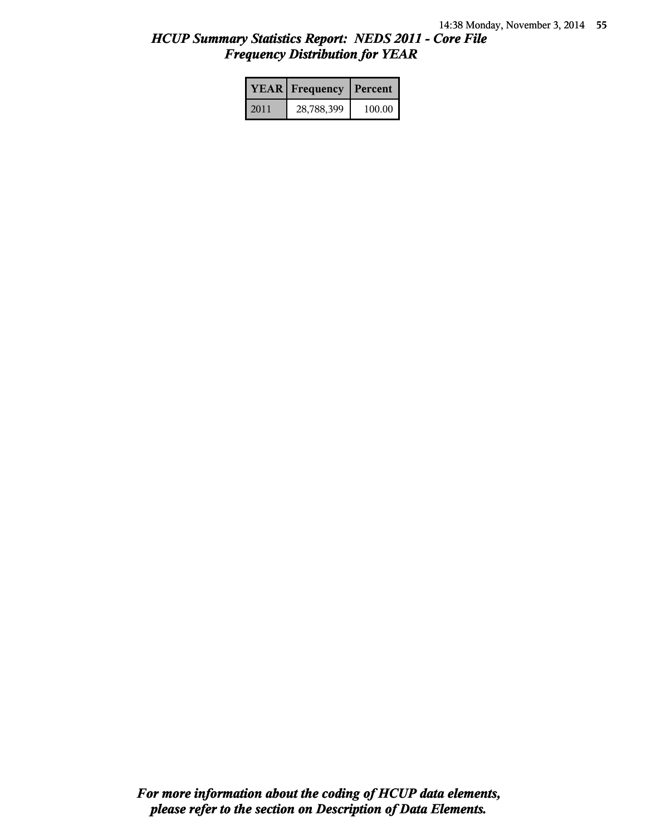|      | <b>YEAR</b> Frequency | Percent |
|------|-----------------------|---------|
| 2011 | 28,788,399            | 100.00  |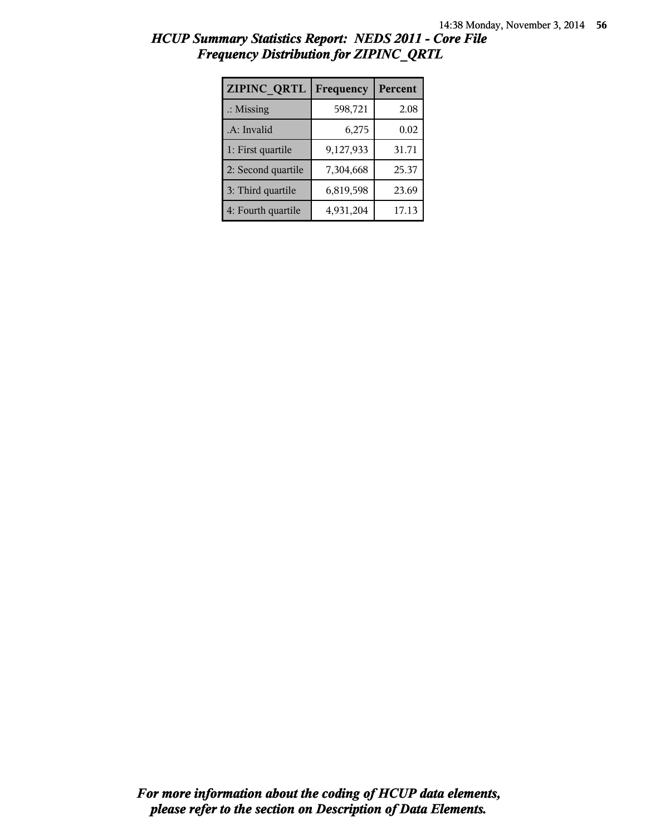| <b>ZIPINC QRTL</b>   | Frequency | Percent |
|----------------------|-----------|---------|
| $\therefore$ Missing | 598,721   | 2.08    |
| .A: Invalid          | 6,275     | 0.02    |
| 1: First quartile    | 9,127,933 | 31.71   |
| 2: Second quartile   | 7,304,668 | 25.37   |
| 3: Third quartile    | 6,819,598 | 23.69   |
| 4: Fourth quartile   | 4,931,204 | 17.13   |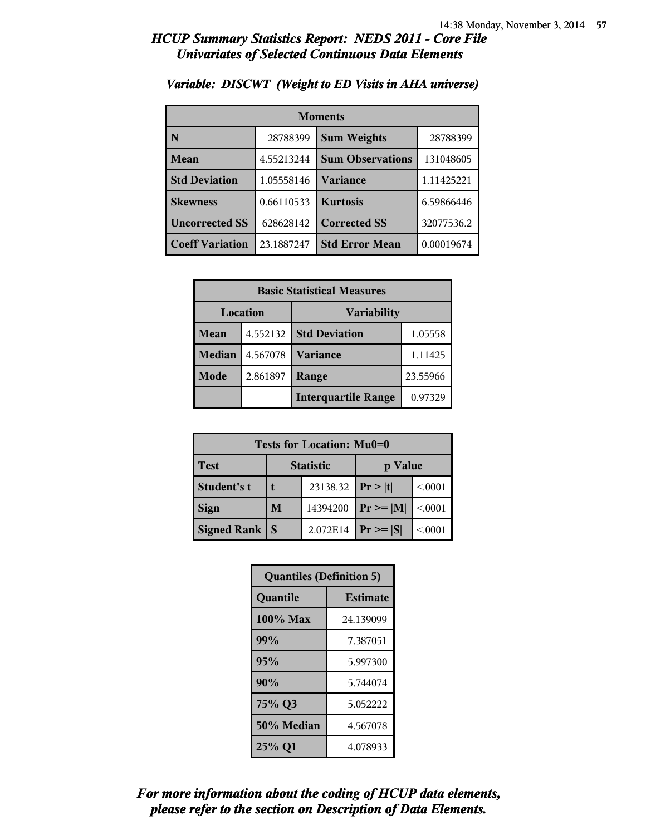| <b>Moments</b>         |            |                                |            |
|------------------------|------------|--------------------------------|------------|
| N                      | 28788399   | <b>Sum Weights</b><br>28788399 |            |
| Mean                   | 4.55213244 | <b>Sum Observations</b>        | 131048605  |
| <b>Std Deviation</b>   | 1.05558146 | Variance                       | 1.11425221 |
| <b>Skewness</b>        | 0.66110533 | <b>Kurtosis</b>                | 6.59866446 |
| <b>Uncorrected SS</b>  | 628628142  | <b>Corrected SS</b>            | 32077536.2 |
| <b>Coeff Variation</b> | 23.1887247 | <b>Std Error Mean</b>          | 0.00019674 |

#### *Variable: DISCWT (Weight to ED Visits in AHA universe)*

| <b>Basic Statistical Measures</b> |          |                            |         |
|-----------------------------------|----------|----------------------------|---------|
| Location<br>Variability           |          |                            |         |
| <b>Mean</b>                       | 4.552132 | <b>Std Deviation</b>       | 1.05558 |
| <b>Median</b>                     | 4.567078 | <b>Variance</b>            | 1.11425 |
| Mode                              | 2.861897 | Range<br>23.55966          |         |
|                                   |          | <b>Interquartile Range</b> | 0.97329 |

| Tests for Location: Mu0=0 |                             |          |                |         |
|---------------------------|-----------------------------|----------|----------------|---------|
| <b>Test</b>               | <b>Statistic</b><br>p Value |          |                |         |
| Student's t               | 23138.32                    |          | Pr> t          | < 0001  |
| <b>Sign</b>               | M                           | 14394200 | $Pr \ge =  M $ | < 0.001 |
| Signed Rank               | S                           | 2.072E14 | $Pr \geq  S $  | < 0001  |

| <b>Quantiles (Definition 5)</b> |                 |  |
|---------------------------------|-----------------|--|
| Quantile                        | <b>Estimate</b> |  |
| 100% Max                        | 24.139099       |  |
| 99%                             | 7.387051        |  |
| 95%                             | 5.997300        |  |
| 90%                             | 5.744074        |  |
| 75% Q3                          | 5.052222        |  |
| 50% Median                      | 4.567078        |  |
| 25% Q1                          | 4.078933        |  |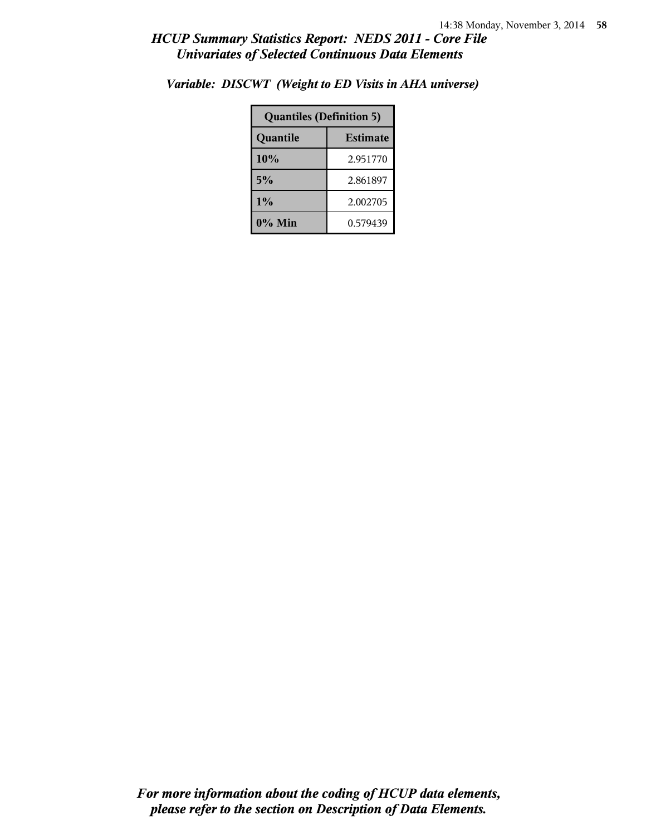| <b>Quantiles (Definition 5)</b> |  |  |
|---------------------------------|--|--|
| <b>Estimate</b><br>Quantile     |  |  |
| 10%<br>2.951770                 |  |  |
| 5%<br>2.861897                  |  |  |
| 1%<br>2.002705                  |  |  |
| 0% Min<br>0.579439              |  |  |

*Variable: DISCWT (Weight to ED Visits in AHA universe)*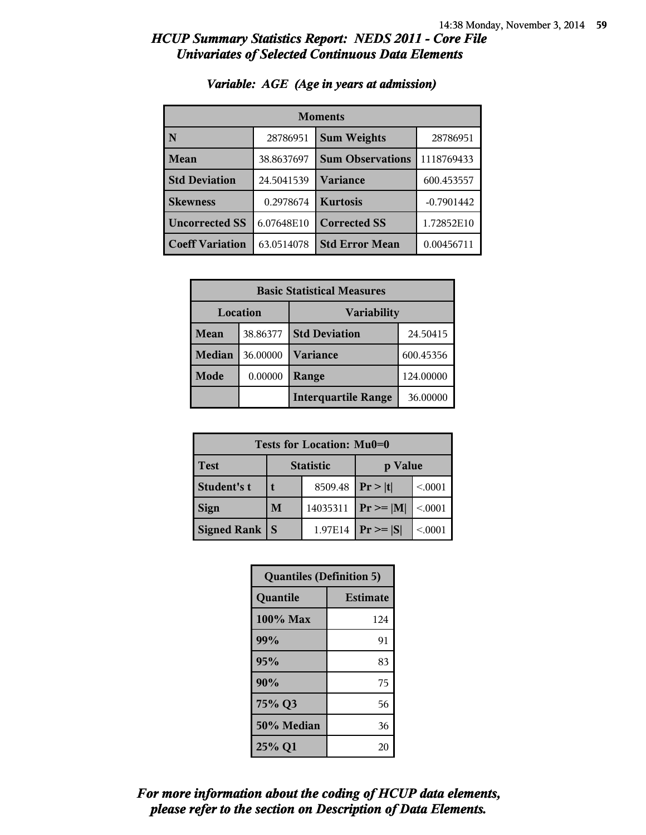| <b>Moments</b>         |            |                         |              |
|------------------------|------------|-------------------------|--------------|
| N                      | 28786951   | <b>Sum Weights</b>      | 28786951     |
| Mean                   | 38.8637697 | <b>Sum Observations</b> | 1118769433   |
| <b>Std Deviation</b>   | 24.5041539 | <b>Variance</b>         | 600.453557   |
| <b>Skewness</b>        | 0.2978674  | <b>Kurtosis</b>         | $-0.7901442$ |
| <b>Uncorrected SS</b>  | 6.07648E10 | <b>Corrected SS</b>     | 1.72852E10   |
| <b>Coeff Variation</b> | 63.0514078 | <b>Std Error Mean</b>   | 0.00456711   |

### *Variable: AGE (Age in years at admission)*

| <b>Basic Statistical Measures</b> |          |                            |           |  |
|-----------------------------------|----------|----------------------------|-----------|--|
|                                   | Location | <b>Variability</b>         |           |  |
| Mean                              | 38.86377 | <b>Std Deviation</b>       | 24.50415  |  |
| <b>Median</b>                     | 36.00000 | <b>Variance</b>            | 600.45356 |  |
| Mode                              | 0.00000  | Range                      | 124.00000 |  |
|                                   |          | <b>Interquartile Range</b> | 36.00000  |  |

| <b>Tests for Location: Mu0=0</b> |                             |         |               |         |
|----------------------------------|-----------------------------|---------|---------------|---------|
| <b>Test</b>                      | <b>Statistic</b><br>p Value |         |               |         |
| Student's t                      | 8509.48                     |         | Pr> t         | < 0001  |
| <b>Sign</b>                      | 14035311<br>M               |         | $Pr \ge  M $  | < .0001 |
| <b>Signed Rank</b>               |                             | 1.97E14 | $ Pr \ge  S $ | < 0001  |

| <b>Quantiles (Definition 5)</b> |                 |  |
|---------------------------------|-----------------|--|
| Quantile                        | <b>Estimate</b> |  |
| $100\%$ Max                     | 124             |  |
| 99%                             | 91              |  |
| 95%                             | 83              |  |
| 90%                             | 75              |  |
| 75% Q3<br>56                    |                 |  |
| 50% Median                      | 36              |  |
| 25% Q1<br>20                    |                 |  |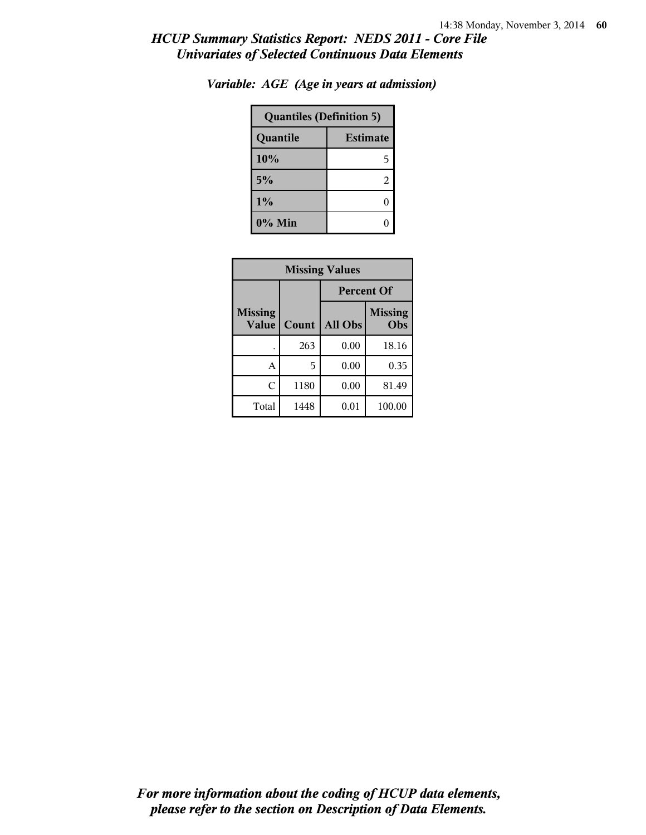| <b>Quantiles (Definition 5)</b> |   |  |
|---------------------------------|---|--|
| <b>Estimate</b><br>Quantile     |   |  |
| 10%                             | 5 |  |
| 5%                              | 2 |  |
| 1%                              | 0 |  |
| 0% Min                          |   |  |

*Variable: AGE (Age in years at admission)*

| <b>Missing Values</b>   |       |                   |                       |
|-------------------------|-------|-------------------|-----------------------|
|                         |       | <b>Percent Of</b> |                       |
| <b>Missing</b><br>Value | Count | All Obs           | <b>Missing</b><br>Obs |
|                         | 263   | 0.00              | 18.16                 |
| A                       | 5     | 0.00              | 0.35                  |
| C                       | 1180  | 0.00              | 81.49                 |
| Total                   | 1448  | 0.01              | 100.00                |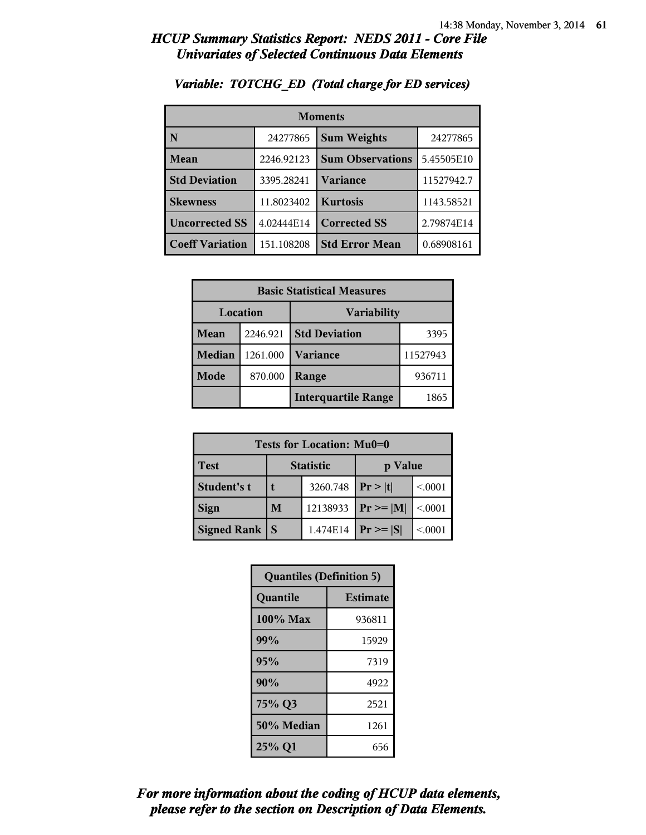| <b>Moments</b>         |            |                         |            |
|------------------------|------------|-------------------------|------------|
| N                      | 24277865   | <b>Sum Weights</b>      | 24277865   |
| Mean                   | 2246.92123 | <b>Sum Observations</b> | 5.45505E10 |
| <b>Std Deviation</b>   | 3395.28241 | Variance                | 11527942.7 |
| <b>Skewness</b>        | 11.8023402 | <b>Kurtosis</b>         | 1143.58521 |
| <b>Uncorrected SS</b>  | 4.02444E14 | <b>Corrected SS</b>     | 2.79874E14 |
| <b>Coeff Variation</b> | 151.108208 | <b>Std Error Mean</b>   | 0.68908161 |

#### *Variable: TOTCHG\_ED (Total charge for ED services)*

| <b>Basic Statistical Measures</b> |          |                              |          |
|-----------------------------------|----------|------------------------------|----------|
| Location<br>Variability           |          |                              |          |
| Mean                              | 2246.921 | <b>Std Deviation</b><br>3395 |          |
| <b>Median</b>                     | 1261.000 | <b>Variance</b>              | 11527943 |
| Mode                              | 870.000  | 936711<br>Range              |          |
|                                   |          | <b>Interquartile Range</b>   | 1865     |

| Tests for Location: Mu0=0 |                             |          |                |         |
|---------------------------|-----------------------------|----------|----------------|---------|
| <b>Test</b>               | <b>Statistic</b><br>p Value |          |                |         |
| Student's t               | 3260.748                    |          | Pr> t          | < 0001  |
| <b>Sign</b>               | 12138933<br>M               |          | $Pr \ge =  M $ | < 0.001 |
| Signed Rank               |                             | 1.474E14 | $Pr \geq  S $  | < 0001  |

| <b>Quantiles (Definition 5)</b> |                 |  |
|---------------------------------|-----------------|--|
| Quantile                        | <b>Estimate</b> |  |
| $100\%$ Max                     | 936811          |  |
| 99%                             | 15929           |  |
| 95%<br>7319                     |                 |  |
| 90%                             | 4922            |  |
| 75% Q3<br>2521                  |                 |  |
| 50% Median<br>1261              |                 |  |
| 25% Q1<br>656                   |                 |  |